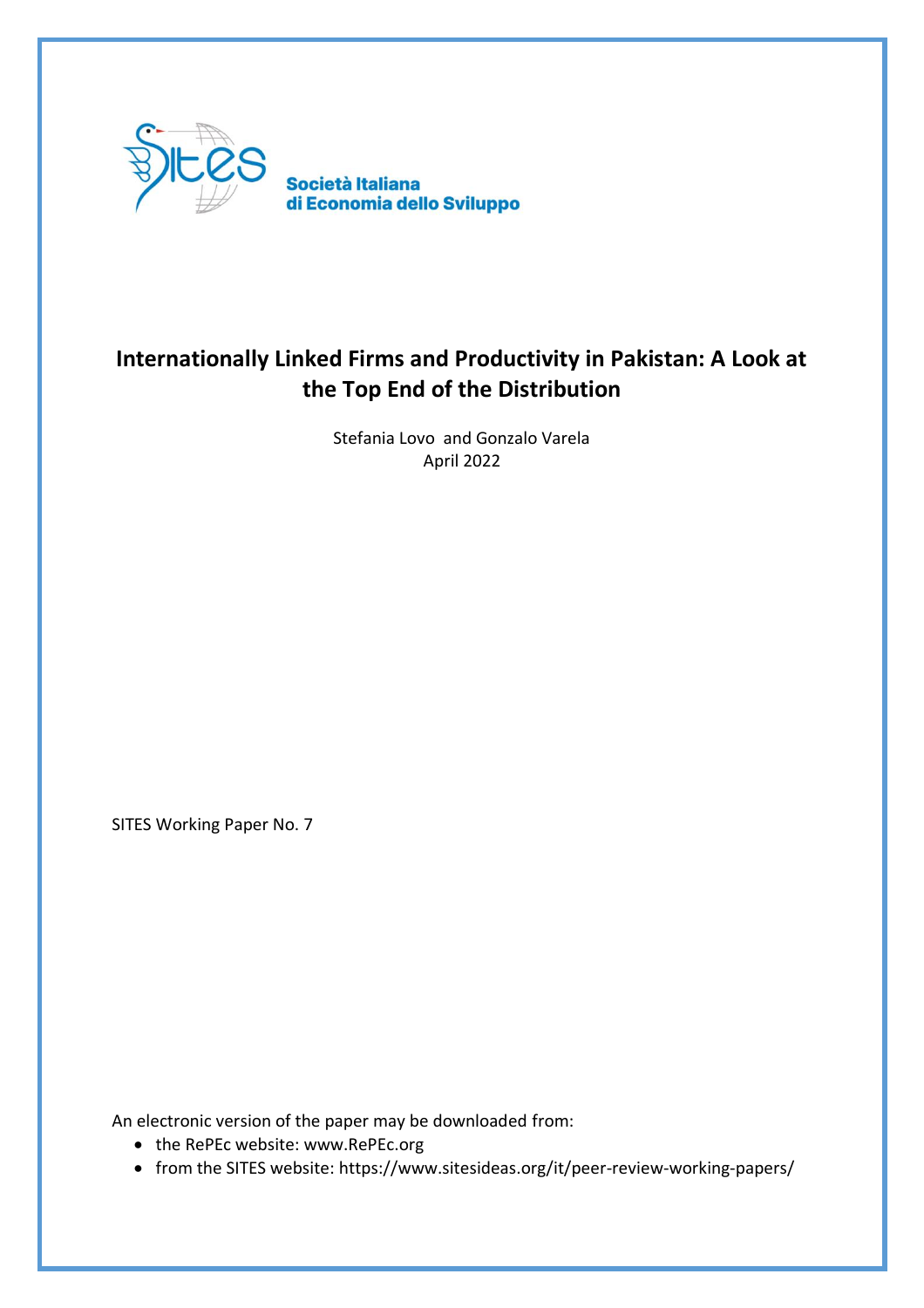

## **Internationally Linked Firms and Productivity in Pakistan: A Look at the Top End of the Distribution**

Stefania Lovo and Gonzalo Varela April 2022

SITES Working Paper No. 7

An electronic version of the paper may be downloaded from:

- the RePEc website: www.RePEc.org
- from the SITES website: https://www.sitesideas.org/it/peer-review-working-papers/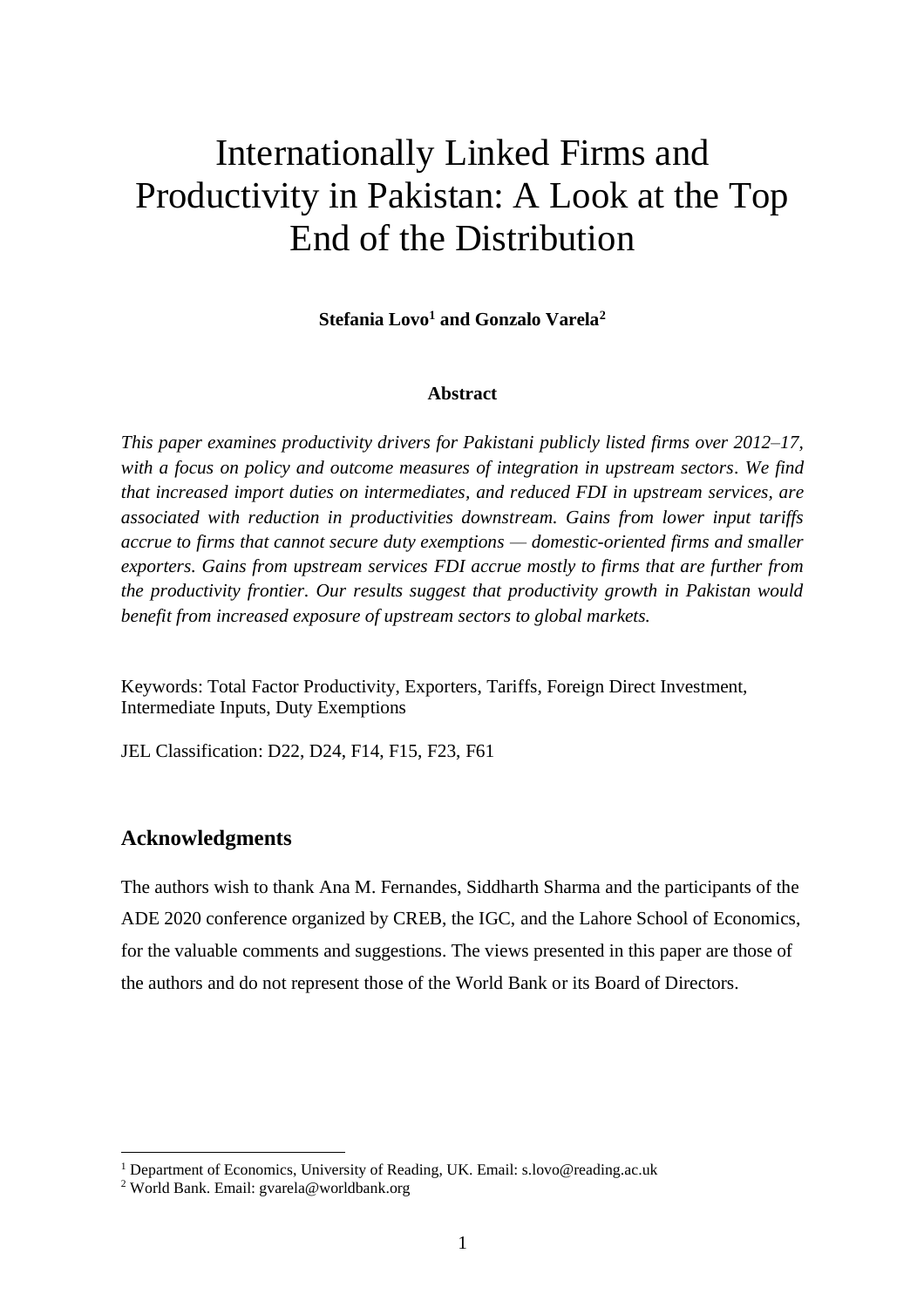# Internationally Linked Firms and Productivity in Pakistan: A Look at the Top End of the Distribution

**Stefania Lovo<sup>1</sup> and Gonzalo Varela<sup>2</sup>**

#### **Abstract**

*This paper examines productivity drivers for Pakistani publicly listed firms over 2012–17, with a focus on policy and outcome measures of integration in upstream sectors. We find that increased import duties on intermediates, and reduced FDI in upstream services, are associated with reduction in productivities downstream. Gains from lower input tariffs accrue to firms that cannot secure duty exemptions — domestic-oriented firms and smaller exporters. Gains from upstream services FDI accrue mostly to firms that are further from the productivity frontier. Our results suggest that productivity growth in Pakistan would benefit from increased exposure of upstream sectors to global markets.* 

Keywords: Total Factor Productivity, Exporters, Tariffs, Foreign Direct Investment, Intermediate Inputs, Duty Exemptions

JEL Classification: D22, D24, F14, F15, F23, F61

#### **Acknowledgments**

The authors wish to thank Ana M. Fernandes, Siddharth Sharma and the participants of the ADE 2020 conference organized by CREB, the IGC, and the Lahore School of Economics, for the valuable comments and suggestions. The views presented in this paper are those of the authors and do not represent those of the World Bank or its Board of Directors.

<sup>&</sup>lt;sup>1</sup> Department of Economics, University of Reading, UK. Email: s.lovo@reading.ac.uk

<sup>2</sup> World Bank. Email: gvarela@worldbank.org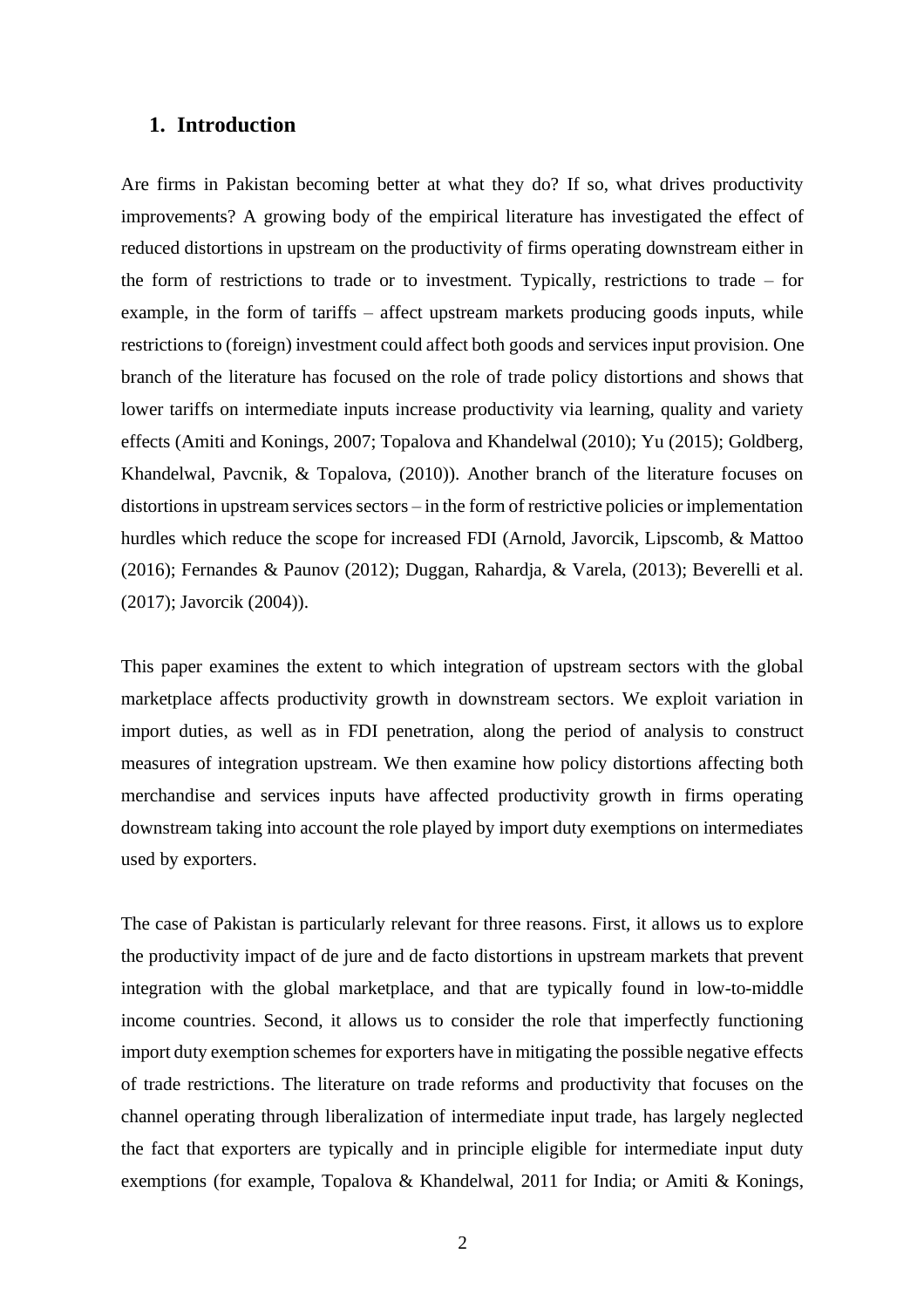#### **1. Introduction**

Are firms in Pakistan becoming better at what they do? If so, what drives productivity improvements? A growing body of the empirical literature has investigated the effect of reduced distortions in upstream on the productivity of firms operating downstream either in the form of restrictions to trade or to investment. Typically, restrictions to trade – for example, in the form of tariffs – affect upstream markets producing goods inputs, while restrictions to (foreign) investment could affect both goods and services input provision. One branch of the literature has focused on the role of trade policy distortions and shows that lower tariffs on intermediate inputs increase productivity via learning, quality and variety effects (Amiti and Konings, 2007; Topalova and Khandelwal (2010); Yu (2015); Goldberg, Khandelwal, Pavcnik, & Topalova, (2010)). Another branch of the literature focuses on distortions in upstream services sectors – in the form of restrictive policies or implementation hurdles which reduce the scope for increased FDI (Arnold, Javorcik, Lipscomb, & Mattoo (2016); Fernandes & Paunov (2012); Duggan, Rahardja, & Varela, (2013); Beverelli et al. (2017); Javorcik (2004)).

This paper examines the extent to which integration of upstream sectors with the global marketplace affects productivity growth in downstream sectors. We exploit variation in import duties, as well as in FDI penetration, along the period of analysis to construct measures of integration upstream. We then examine how policy distortions affecting both merchandise and services inputs have affected productivity growth in firms operating downstream taking into account the role played by import duty exemptions on intermediates used by exporters.

The case of Pakistan is particularly relevant for three reasons. First, it allows us to explore the productivity impact of de jure and de facto distortions in upstream markets that prevent integration with the global marketplace, and that are typically found in low-to-middle income countries. Second, it allows us to consider the role that imperfectly functioning import duty exemption schemes for exporters have in mitigating the possible negative effects of trade restrictions. The literature on trade reforms and productivity that focuses on the channel operating through liberalization of intermediate input trade, has largely neglected the fact that exporters are typically and in principle eligible for intermediate input duty exemptions (for example, Topalova & Khandelwal, 2011 for India; or Amiti & Konings,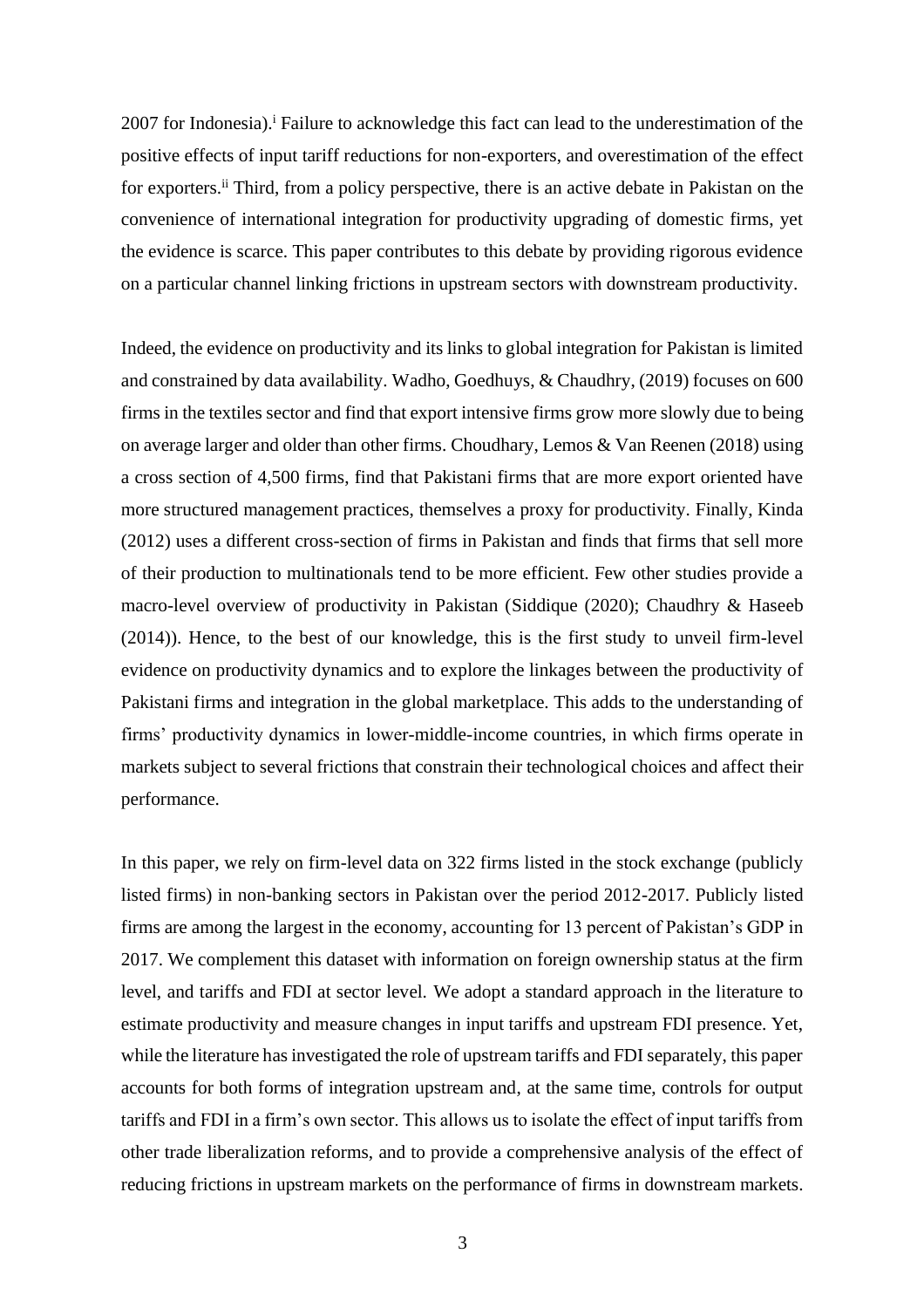2007 for Indonesia).<sup>i</sup> Failure to acknowledge this fact can lead to the underestimation of the positive effects of input tariff reductions for non-exporters, and overestimation of the effect for exporters.<sup>ii</sup> Third, from a policy perspective, there is an active debate in Pakistan on the convenience of international integration for productivity upgrading of domestic firms, yet the evidence is scarce. This paper contributes to this debate by providing rigorous evidence on a particular channel linking frictions in upstream sectors with downstream productivity.

Indeed, the evidence on productivity and its links to global integration for Pakistan is limited and constrained by data availability. Wadho, Goedhuys, & Chaudhry, (2019) focuses on 600 firms in the textiles sector and find that export intensive firms grow more slowly due to being on average larger and older than other firms. Choudhary, Lemos & Van Reenen (2018) using a cross section of 4,500 firms, find that Pakistani firms that are more export oriented have more structured management practices, themselves a proxy for productivity. Finally, Kinda (2012) uses a different cross-section of firms in Pakistan and finds that firms that sell more of their production to multinationals tend to be more efficient. Few other studies provide a macro-level overview of productivity in Pakistan (Siddique (2020); Chaudhry & Haseeb (2014)). Hence, to the best of our knowledge, this is the first study to unveil firm-level evidence on productivity dynamics and to explore the linkages between the productivity of Pakistani firms and integration in the global marketplace. This adds to the understanding of firms' productivity dynamics in lower-middle-income countries, in which firms operate in markets subject to several frictions that constrain their technological choices and affect their performance.

In this paper, we rely on firm-level data on 322 firms listed in the stock exchange (publicly listed firms) in non-banking sectors in Pakistan over the period 2012-2017. Publicly listed firms are among the largest in the economy, accounting for 13 percent of Pakistan's GDP in 2017. We complement this dataset with information on foreign ownership status at the firm level, and tariffs and FDI at sector level. We adopt a standard approach in the literature to estimate productivity and measure changes in input tariffs and upstream FDI presence. Yet, while the literature has investigated the role of upstream tariffs and FDI separately, this paper accounts for both forms of integration upstream and, at the same time, controls for output tariffs and FDI in a firm's own sector. This allows us to isolate the effect of input tariffs from other trade liberalization reforms, and to provide a comprehensive analysis of the effect of reducing frictions in upstream markets on the performance of firms in downstream markets.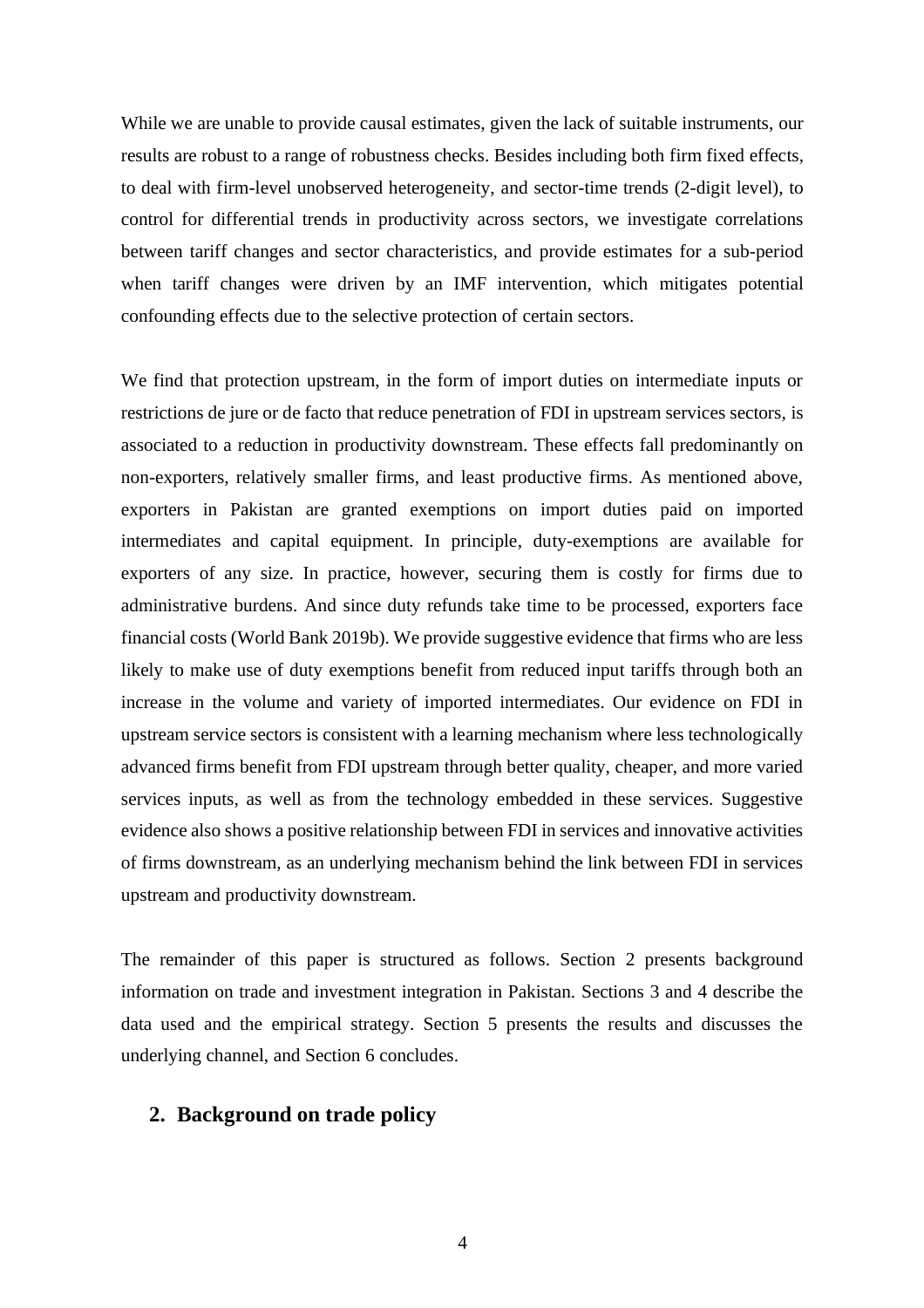While we are unable to provide causal estimates, given the lack of suitable instruments, our results are robust to a range of robustness checks. Besides including both firm fixed effects, to deal with firm-level unobserved heterogeneity, and sector-time trends (2-digit level), to control for differential trends in productivity across sectors, we investigate correlations between tariff changes and sector characteristics, and provide estimates for a sub-period when tariff changes were driven by an IMF intervention, which mitigates potential confounding effects due to the selective protection of certain sectors.

We find that protection upstream, in the form of import duties on intermediate inputs or restrictions de jure or de facto that reduce penetration of FDI in upstream services sectors, is associated to a reduction in productivity downstream. These effects fall predominantly on non-exporters, relatively smaller firms, and least productive firms. As mentioned above, exporters in Pakistan are granted exemptions on import duties paid on imported intermediates and capital equipment. In principle, duty-exemptions are available for exporters of any size. In practice, however, securing them is costly for firms due to administrative burdens. And since duty refunds take time to be processed, exporters face financial costs (World Bank 2019b). We provide suggestive evidence that firms who are less likely to make use of duty exemptions benefit from reduced input tariffs through both an increase in the volume and variety of imported intermediates. Our evidence on FDI in upstream service sectors is consistent with a learning mechanism where less technologically advanced firms benefit from FDI upstream through better quality, cheaper, and more varied services inputs, as well as from the technology embedded in these services. Suggestive evidence also shows a positive relationship between FDI in services and innovative activities of firms downstream, as an underlying mechanism behind the link between FDI in services upstream and productivity downstream.

The remainder of this paper is structured as follows. Section 2 presents background information on trade and investment integration in Pakistan. Sections 3 and 4 describe the data used and the empirical strategy. Section 5 presents the results and discusses the underlying channel, and Section 6 concludes.

#### **2. Background on trade policy**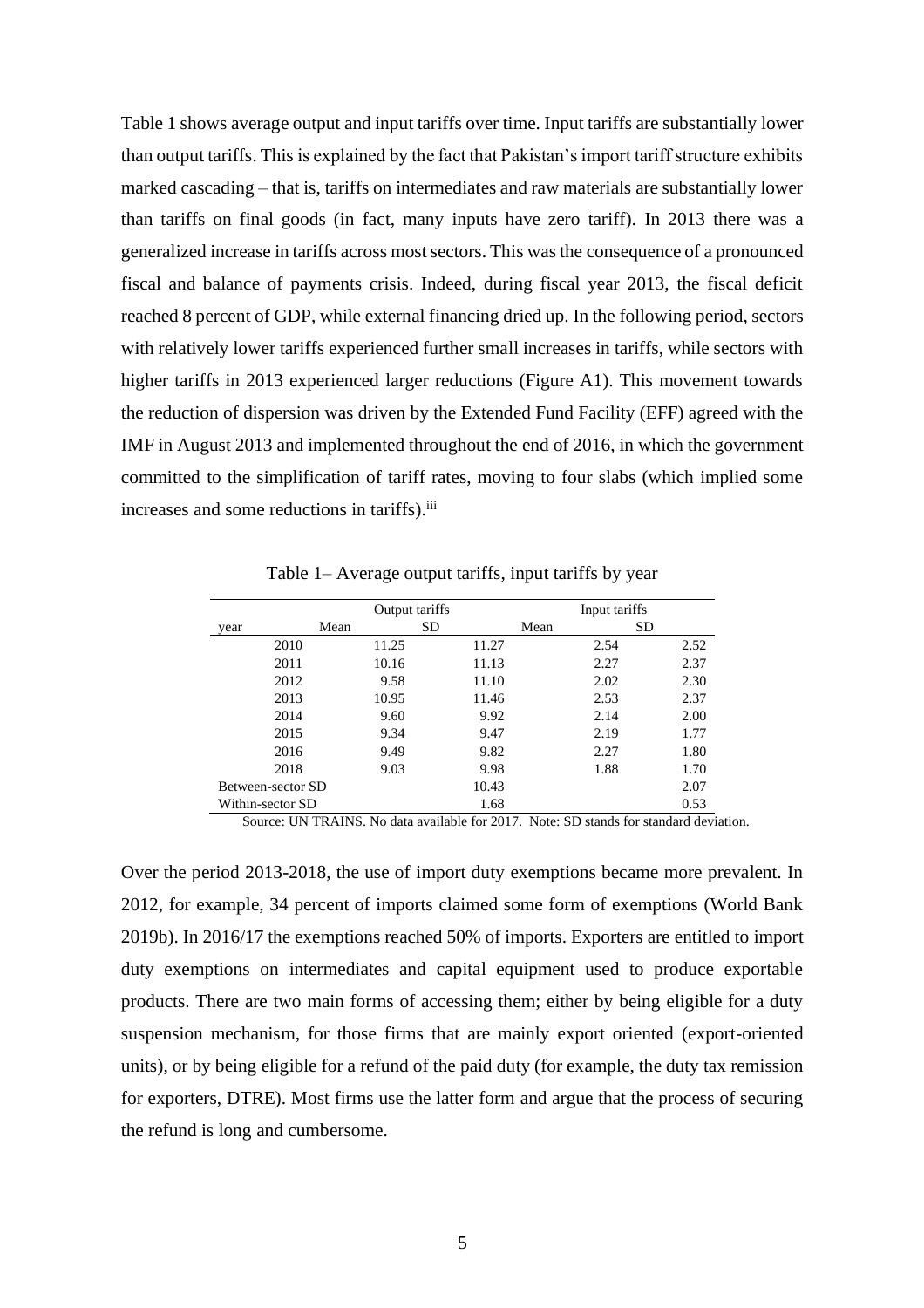[Table 1](#page-5-0) shows average output and input tariffs over time. Input tariffs are substantially lower than output tariffs. This is explained by the fact that Pakistan's import tariff structure exhibits marked cascading – that is, tariffs on intermediates and raw materials are substantially lower than tariffs on final goods (in fact, many inputs have zero tariff). In 2013 there was a generalized increase in tariffs across most sectors. This was the consequence of a pronounced fiscal and balance of payments crisis. Indeed, during fiscal year 2013, the fiscal deficit reached 8 percent of GDP, while external financing dried up. In the following period, sectors with relatively lower tariffs experienced further small increases in tariffs, while sectors with higher tariffs in 2013 experienced larger reductions (Figure A1). This movement towards the reduction of dispersion was driven by the Extended Fund Facility (EFF) agreed with the IMF in August 2013 and implemented throughout the end of 2016, in which the government committed to the simplification of tariff rates, moving to four slabs (which implied some increases and some reductions in tariffs).<sup>iii</sup>

<span id="page-5-0"></span>

|                   |      | Output tariffs |           |       |      | Input tariffs |      |
|-------------------|------|----------------|-----------|-------|------|---------------|------|
| year              | Mean |                | <b>SD</b> |       | Mean | <b>SD</b>     |      |
| 2010              |      | 11.25          |           | 11.27 |      | 2.54          | 2.52 |
| 2011              |      | 10.16          |           | 11.13 | 2.27 |               | 2.37 |
| 2012              |      | 9.58           |           | 11.10 |      | 2.02          | 2.30 |
| 2013              |      | 10.95          |           | 11.46 |      | 2.53          | 2.37 |
| 2014              |      | 9.60           |           | 9.92  |      | 2.14          | 2.00 |
| 2015              |      | 9.34           |           | 9.47  |      | 2.19          | 1.77 |
| 2016              |      | 9.49           |           | 9.82  | 2.27 |               | 1.80 |
| 2018              |      | 9.03           |           | 9.98  |      | 1.88          | 1.70 |
| Between-sector SD |      |                |           | 10.43 |      |               | 2.07 |
| Within-sector SD  |      |                |           | 1.68  |      |               | 0.53 |

Table 1– Average output tariffs, input tariffs by year

Source: UN TRAINS. No data available for 2017. Note: SD stands for standard deviation.

Over the period 2013-2018, the use of import duty exemptions became more prevalent. In 2012, for example, 34 percent of imports claimed some form of exemptions (World Bank 2019b). In 2016/17 the exemptions reached 50% of imports. Exporters are entitled to import duty exemptions on intermediates and capital equipment used to produce exportable products. There are two main forms of accessing them; either by being eligible for a duty suspension mechanism, for those firms that are mainly export oriented (export-oriented units), or by being eligible for a refund of the paid duty (for example, the duty tax remission for exporters, DTRE). Most firms use the latter form and argue that the process of securing the refund is long and cumbersome.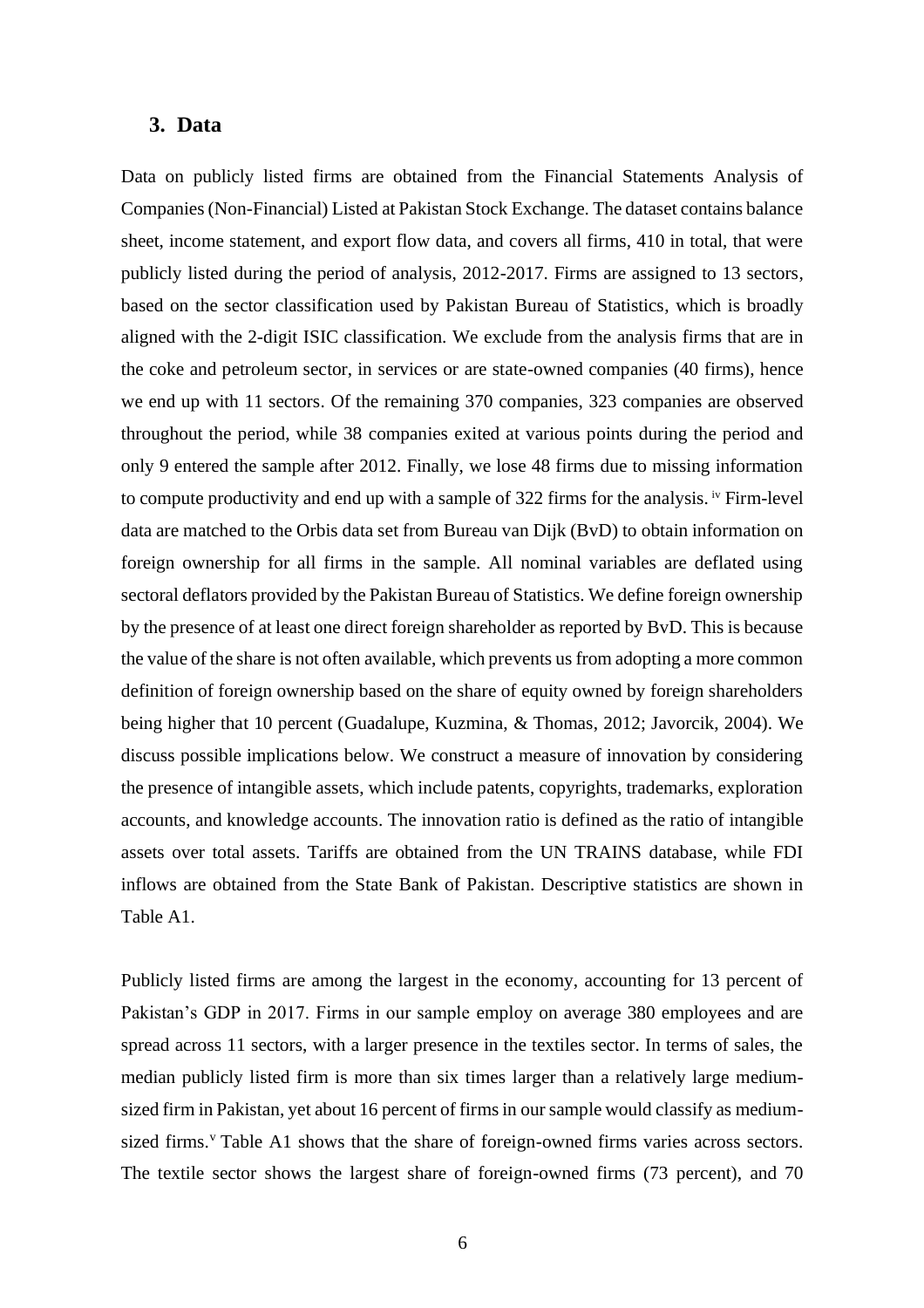#### **3. Data**

Data on publicly listed firms are obtained from the Financial Statements Analysis of Companies (Non-Financial) Listed at Pakistan Stock Exchange. The dataset contains balance sheet, income statement, and export flow data, and covers all firms, 410 in total, that were publicly listed during the period of analysis, 2012-2017. Firms are assigned to 13 sectors, based on the sector classification used by Pakistan Bureau of Statistics, which is broadly aligned with the 2-digit ISIC classification. We exclude from the analysis firms that are in the coke and petroleum sector, in services or are state-owned companies (40 firms), hence we end up with 11 sectors. Of the remaining 370 companies, 323 companies are observed throughout the period, while 38 companies exited at various points during the period and only 9 entered the sample after 2012. Finally, we lose 48 firms due to missing information to compute productivity and end up with a sample of 322 firms for the analysis. <sup>iv</sup> Firm-level data are matched to the Orbis data set from Bureau van Dijk (BvD) to obtain information on foreign ownership for all firms in the sample. All nominal variables are deflated using sectoral deflators provided by the Pakistan Bureau of Statistics. We define foreign ownership by the presence of at least one direct foreign shareholder as reported by BvD. This is because the value of the share is not often available, which prevents us from adopting a more common definition of foreign ownership based on the share of equity owned by foreign shareholders being higher that 10 percent (Guadalupe, Kuzmina, & Thomas, 2012; Javorcik, 2004). We discuss possible implications below. We construct a measure of innovation by considering the presence of intangible assets, which include patents, copyrights, trademarks, exploration accounts, and knowledge accounts. The innovation ratio is defined as the ratio of intangible assets over total assets. Tariffs are obtained from the UN TRAINS database, while FDI inflows are obtained from the State Bank of Pakistan. Descriptive statistics are shown in Table A1.

Publicly listed firms are among the largest in the economy, accounting for 13 percent of Pakistan's GDP in 2017. Firms in our sample employ on average 380 employees and are spread across 11 sectors, with a larger presence in the textiles sector. In terms of sales, the median publicly listed firm is more than six times larger than a relatively large mediumsized firm in Pakistan, yet about 16 percent of firms in our sample would classify as mediumsized firms.<sup>v</sup> Table A1 shows that the share of foreign-owned firms varies across sectors. The textile sector shows the largest share of foreign-owned firms (73 percent), and 70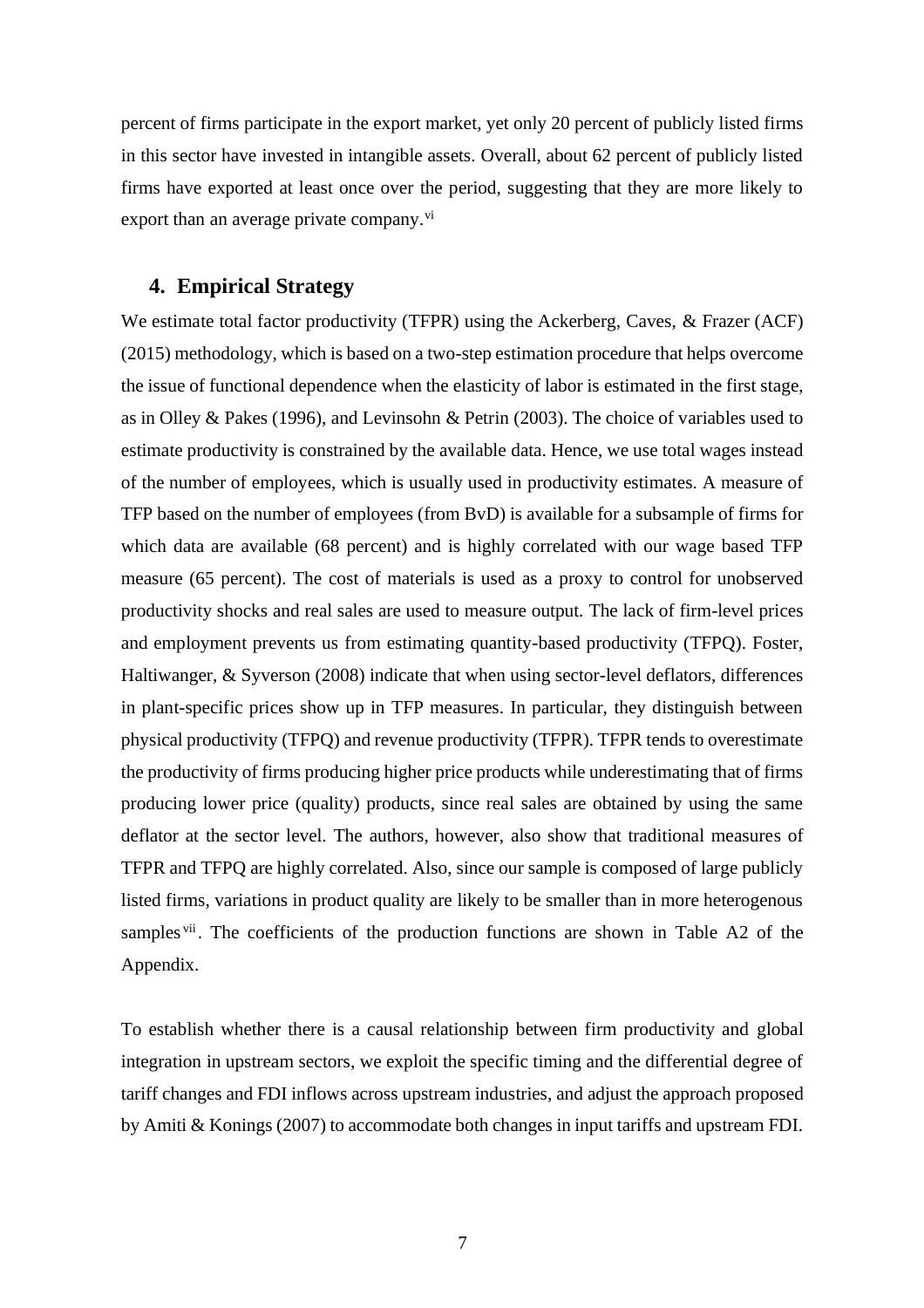percent of firms participate in the export market, yet only 20 percent of publicly listed firms in this sector have invested in intangible assets. Overall, about 62 percent of publicly listed firms have exported at least once over the period, suggesting that they are more likely to export than an average private company.<sup>vi</sup>

#### **4. Empirical Strategy**

We estimate total factor productivity (TFPR) using the Ackerberg, Caves, & Frazer (ACF) (2015) methodology, which is based on a two-step estimation procedure that helps overcome the issue of functional dependence when the elasticity of labor is estimated in the first stage, as in Olley & Pakes (1996), and Levinsohn & Petrin (2003). The choice of variables used to estimate productivity is constrained by the available data. Hence, we use total wages instead of the number of employees, which is usually used in productivity estimates. A measure of TFP based on the number of employees (from BvD) is available for a subsample of firms for which data are available (68 percent) and is highly correlated with our wage based TFP measure (65 percent). The cost of materials is used as a proxy to control for unobserved productivity shocks and real sales are used to measure output. The lack of firm-level prices and employment prevents us from estimating quantity-based productivity (TFPQ). Foster, Haltiwanger, & Syverson (2008) indicate that when using sector-level deflators, differences in plant-specific prices show up in TFP measures. In particular, they distinguish between physical productivity (TFPQ) and revenue productivity (TFPR). TFPR tends to overestimate the productivity of firms producing higher price products while underestimating that of firms producing lower price (quality) products, since real sales are obtained by using the same deflator at the sector level. The authors, however, also show that traditional measures of TFPR and TFPQ are highly correlated. Also, since our sample is composed of large publicly listed firms, variations in product quality are likely to be smaller than in more heterogenous samples v<sup>ii</sup>. The coefficients of the production functions are shown in Table A2 of the Appendix.

To establish whether there is a causal relationship between firm productivity and global integration in upstream sectors, we exploit the specific timing and the differential degree of tariff changes and FDI inflows across upstream industries, and adjust the approach proposed by Amiti & Konings (2007) to accommodate both changes in input tariffs and upstream FDI.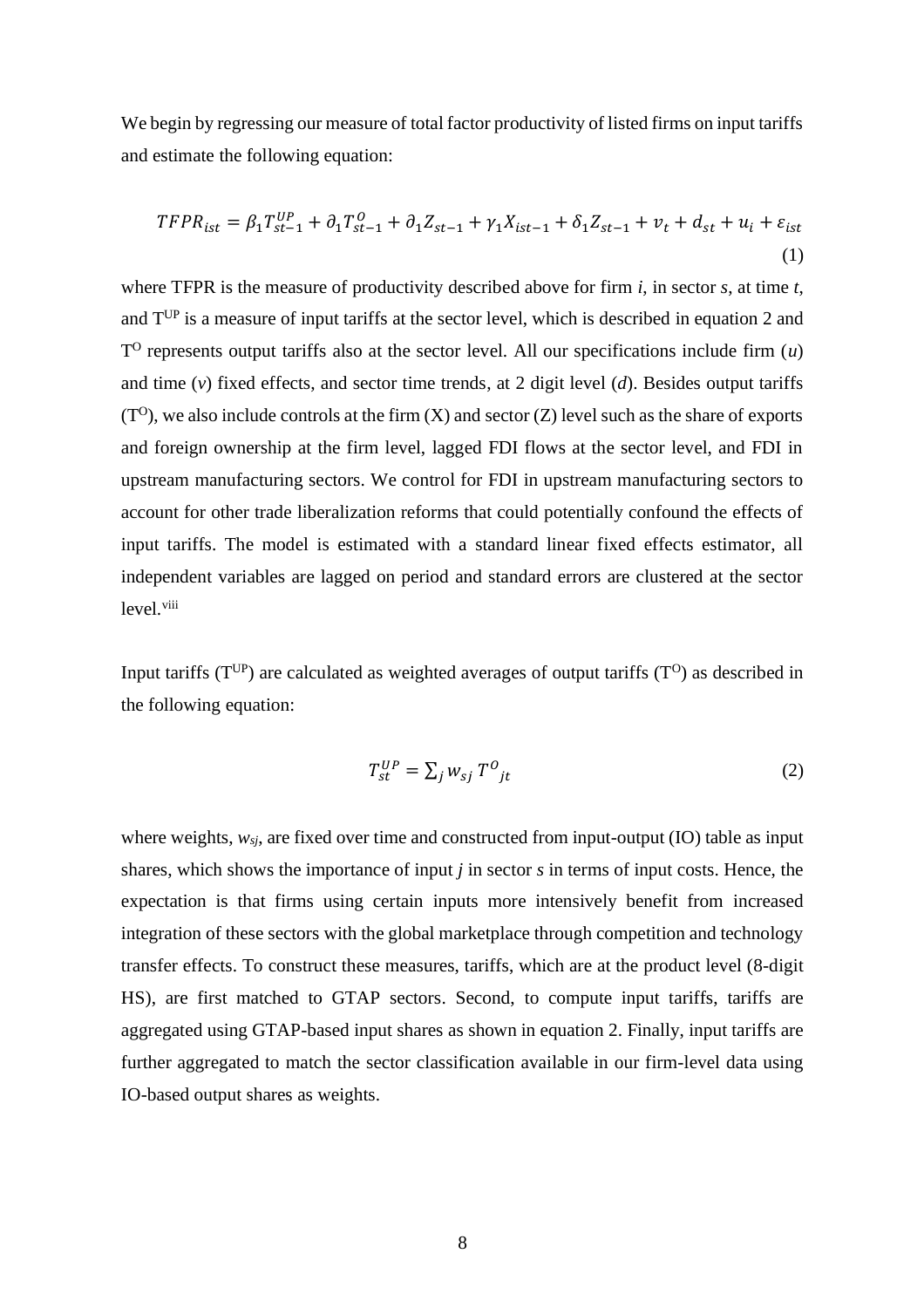We begin by regressing our measure of total factor productivity of listed firms on input tariffs and estimate the following equation:

$$
TFPR_{ist} = \beta_1 T_{st-1}^{UP} + \partial_1 T_{st-1}^0 + \partial_1 Z_{st-1} + \gamma_1 X_{ist-1} + \delta_1 Z_{st-1} + \nu_t + d_{st} + u_i + \varepsilon_{ist}
$$
\n(1)

where TFPR is the measure of productivity described above for firm *i*, in sector *s*, at time *t*, and TUP is a measure of input tariffs at the sector level, which is described in equation 2 and  $T<sup>O</sup>$  represents output tariffs also at the sector level. All our specifications include firm  $(u)$ and time (*v*) fixed effects, and sector time trends, at 2 digit level (*d*). Besides output tariffs  $(T<sup>o</sup>)$ , we also include controls at the firm  $(X)$  and sector  $(Z)$  level such as the share of exports and foreign ownership at the firm level, lagged FDI flows at the sector level, and FDI in upstream manufacturing sectors. We control for FDI in upstream manufacturing sectors to account for other trade liberalization reforms that could potentially confound the effects of input tariffs. The model is estimated with a standard linear fixed effects estimator, all independent variables are lagged on period and standard errors are clustered at the sector level.<sup>viii</sup>

Input tariffs ( $T^{UP}$ ) are calculated as weighted averages of output tariffs ( $T^{O}$ ) as described in the following equation:

$$
T_{st}^{UP} = \sum_{j} w_{sj} T^{0}_{jt} \tag{2}
$$

where weights, *wsj*, are fixed over time and constructed from input-output (IO) table as input shares, which shows the importance of input *j* in sector *s* in terms of input costs. Hence, the expectation is that firms using certain inputs more intensively benefit from increased integration of these sectors with the global marketplace through competition and technology transfer effects. To construct these measures, tariffs, which are at the product level (8-digit HS), are first matched to GTAP sectors. Second, to compute input tariffs, tariffs are aggregated using GTAP-based input shares as shown in equation 2. Finally, input tariffs are further aggregated to match the sector classification available in our firm-level data using IO-based output shares as weights.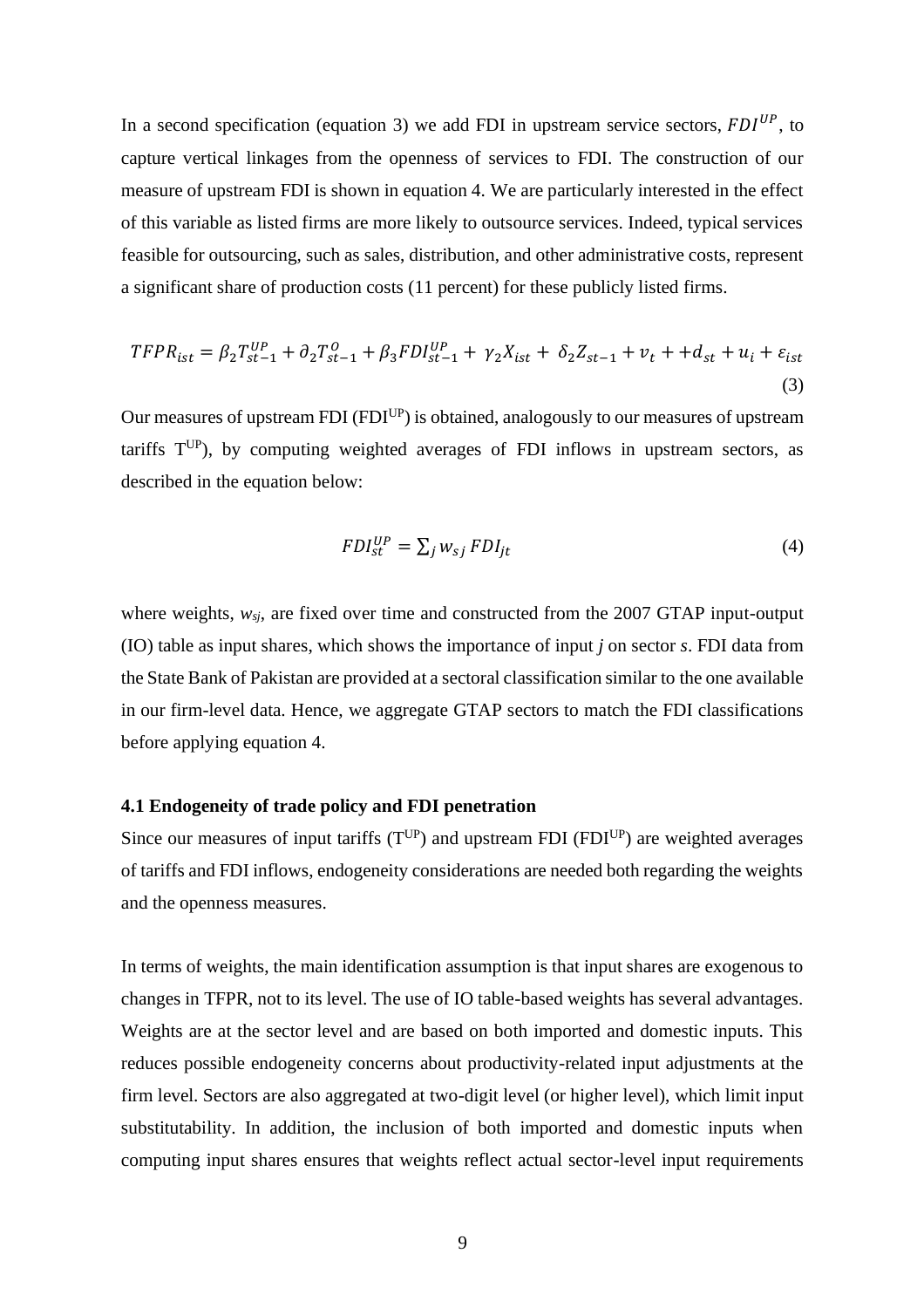In a second specification (equation 3) we add FDI in upstream service sectors,  $FDI^{UP}$ , to capture vertical linkages from the openness of services to FDI. The construction of our measure of upstream FDI is shown in equation 4. We are particularly interested in the effect of this variable as listed firms are more likely to outsource services. Indeed, typical services feasible for outsourcing, such as sales, distribution, and other administrative costs, represent a significant share of production costs (11 percent) for these publicly listed firms.

$$
TFPR_{ist} = \beta_2 T_{st-1}^{UP} + \partial_2 T_{st-1}^0 + \beta_3 FDI_{st-1}^{UP} + \gamma_2 X_{ist} + \delta_2 Z_{st-1} + \nu_t + d_{st} + u_i + \varepsilon_{ist}
$$
\n(3)

Our measures of upstream FDI (FDI<sup>UP</sup>) is obtained, analogously to our measures of upstream tariffs  $T^{UP}$ ), by computing weighted averages of FDI inflows in upstream sectors, as described in the equation below:

$$
FDI_{st}^{UP} = \sum_{j} w_{sj} \, FDI_{jt} \tag{4}
$$

where weights, *wsj*, are fixed over time and constructed from the 2007 GTAP input-output (IO) table as input shares, which shows the importance of input *j* on sector *s*. FDI data from the State Bank of Pakistan are provided at a sectoral classification similar to the one available in our firm-level data. Hence, we aggregate GTAP sectors to match the FDI classifications before applying equation 4.

#### **4.1 Endogeneity of trade policy and FDI penetration**

Since our measures of input tariffs  $(T^{UP})$  and upstream FDI (FDI<sup>UP</sup>) are weighted averages of tariffs and FDI inflows, endogeneity considerations are needed both regarding the weights and the openness measures.

In terms of weights, the main identification assumption is that input shares are exogenous to changes in TFPR, not to its level. The use of IO table-based weights has several advantages. Weights are at the sector level and are based on both imported and domestic inputs. This reduces possible endogeneity concerns about productivity-related input adjustments at the firm level. Sectors are also aggregated at two-digit level (or higher level), which limit input substitutability. In addition, the inclusion of both imported and domestic inputs when computing input shares ensures that weights reflect actual sector-level input requirements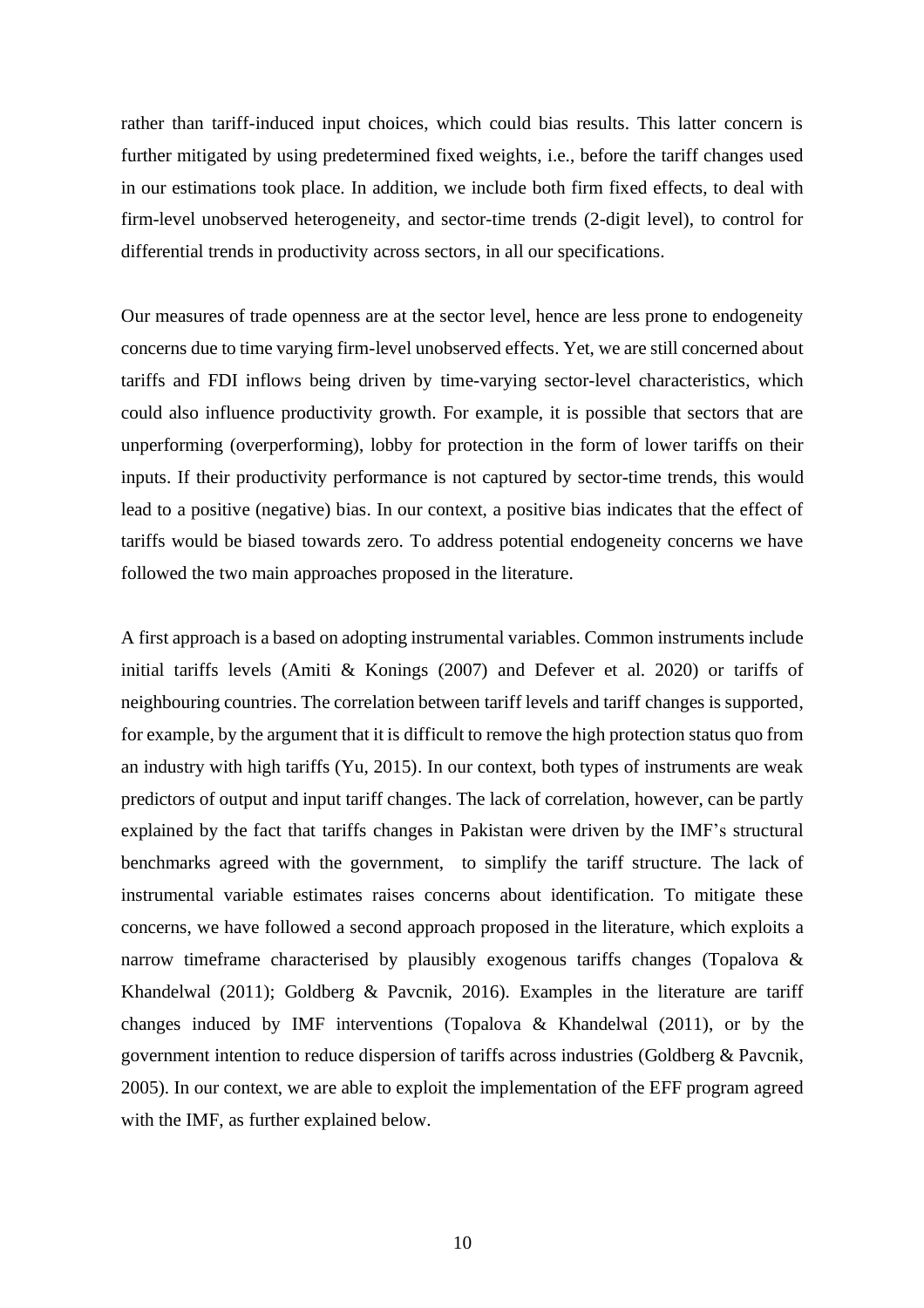rather than tariff-induced input choices, which could bias results. This latter concern is further mitigated by using predetermined fixed weights, i.e., before the tariff changes used in our estimations took place. In addition, we include both firm fixed effects, to deal with firm-level unobserved heterogeneity, and sector-time trends (2-digit level), to control for differential trends in productivity across sectors, in all our specifications.

Our measures of trade openness are at the sector level, hence are less prone to endogeneity concerns due to time varying firm-level unobserved effects. Yet, we are still concerned about tariffs and FDI inflows being driven by time-varying sector-level characteristics, which could also influence productivity growth. For example, it is possible that sectors that are unperforming (overperforming), lobby for protection in the form of lower tariffs on their inputs. If their productivity performance is not captured by sector-time trends, this would lead to a positive (negative) bias. In our context, a positive bias indicates that the effect of tariffs would be biased towards zero. To address potential endogeneity concerns we have followed the two main approaches proposed in the literature.

A first approach is a based on adopting instrumental variables. Common instruments include initial tariffs levels (Amiti & Konings (2007) and Defever et al. 2020) or tariffs of neighbouring countries. The correlation between tariff levels and tariff changes is supported, for example, by the argument that it is difficult to remove the high protection status quo from an industry with high tariffs (Yu, 2015). In our context, both types of instruments are weak predictors of output and input tariff changes. The lack of correlation, however, can be partly explained by the fact that tariffs changes in Pakistan were driven by the IMF's structural benchmarks agreed with the government, to simplify the tariff structure. The lack of instrumental variable estimates raises concerns about identification. To mitigate these concerns, we have followed a second approach proposed in the literature, which exploits a narrow timeframe characterised by plausibly exogenous tariffs changes (Topalova & Khandelwal (2011); Goldberg & Pavcnik, 2016). Examples in the literature are tariff changes induced by IMF interventions (Topalova  $\&$  Khandelwal (2011), or by the government intention to reduce dispersion of tariffs across industries (Goldberg & Pavcnik, 2005). In our context, we are able to exploit the implementation of the EFF program agreed with the IMF, as further explained below.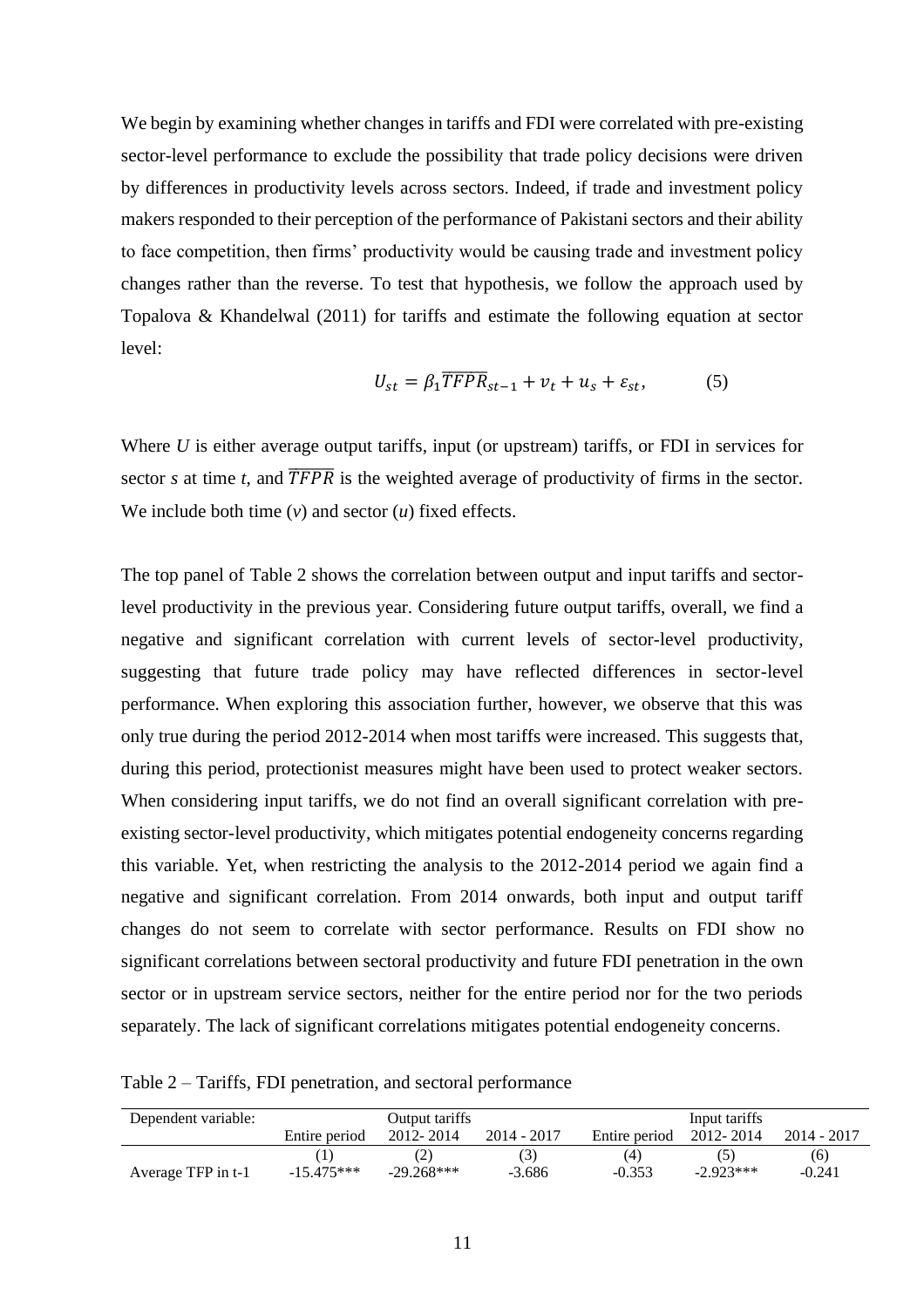We begin by examining whether changes in tariffs and FDI were correlated with pre-existing sector-level performance to exclude the possibility that trade policy decisions were driven by differences in productivity levels across sectors. Indeed, if trade and investment policy makers responded to their perception of the performance of Pakistani sectors and their ability to face competition, then firms' productivity would be causing trade and investment policy changes rather than the reverse. To test that hypothesis, we follow the approach used by Topalova & Khandelwal (2011) for tariffs and estimate the following equation at sector level:

$$
U_{st} = \beta_1 \overline{TFPR}_{st-1} + v_t + u_s + \varepsilon_{st},
$$
 (5)

Where *U* is either average output tariffs, input (or upstream) tariffs, or FDI in services for sector *s* at time *t*, and  $\overline{TFR}$  is the weighted average of productivity of firms in the sector. We include both time (*v*) and sector (*u*) fixed effects.

The top panel of [Table 2](#page-11-0) shows the correlation between output and input tariffs and sectorlevel productivity in the previous year. Considering future output tariffs, overall, we find a negative and significant correlation with current levels of sector-level productivity, suggesting that future trade policy may have reflected differences in sector-level performance. When exploring this association further, however, we observe that this was only true during the period 2012-2014 when most tariffs were increased. This suggests that, during this period, protectionist measures might have been used to protect weaker sectors. When considering input tariffs, we do not find an overall significant correlation with preexisting sector-level productivity, which mitigates potential endogeneity concerns regarding this variable. Yet, when restricting the analysis to the 2012-2014 period we again find a negative and significant correlation. From 2014 onwards, both input and output tariff changes do not seem to correlate with sector performance. Results on FDI show no significant correlations between sectoral productivity and future FDI penetration in the own sector or in upstream service sectors, neither for the entire period nor for the two periods separately. The lack of significant correlations mitigates potential endogeneity concerns.

<span id="page-11-0"></span>Table 2 – Tariffs, FDI penetration, and sectoral performance

| Dependent variable: | Output tariffs |              |             | Input tariffs |             |             |
|---------------------|----------------|--------------|-------------|---------------|-------------|-------------|
|                     | Entire period  | 2012-2014    | 2014 - 2017 | Entire period | 2012-2014   | 2014 - 2017 |
|                     |                |              |             | (4)           |             | (6)         |
| Average TFP in t-1  | $-15.475***$   | $-29.268***$ | $-3.686$    | $-0.353$      | $-2.923***$ | $-0.241$    |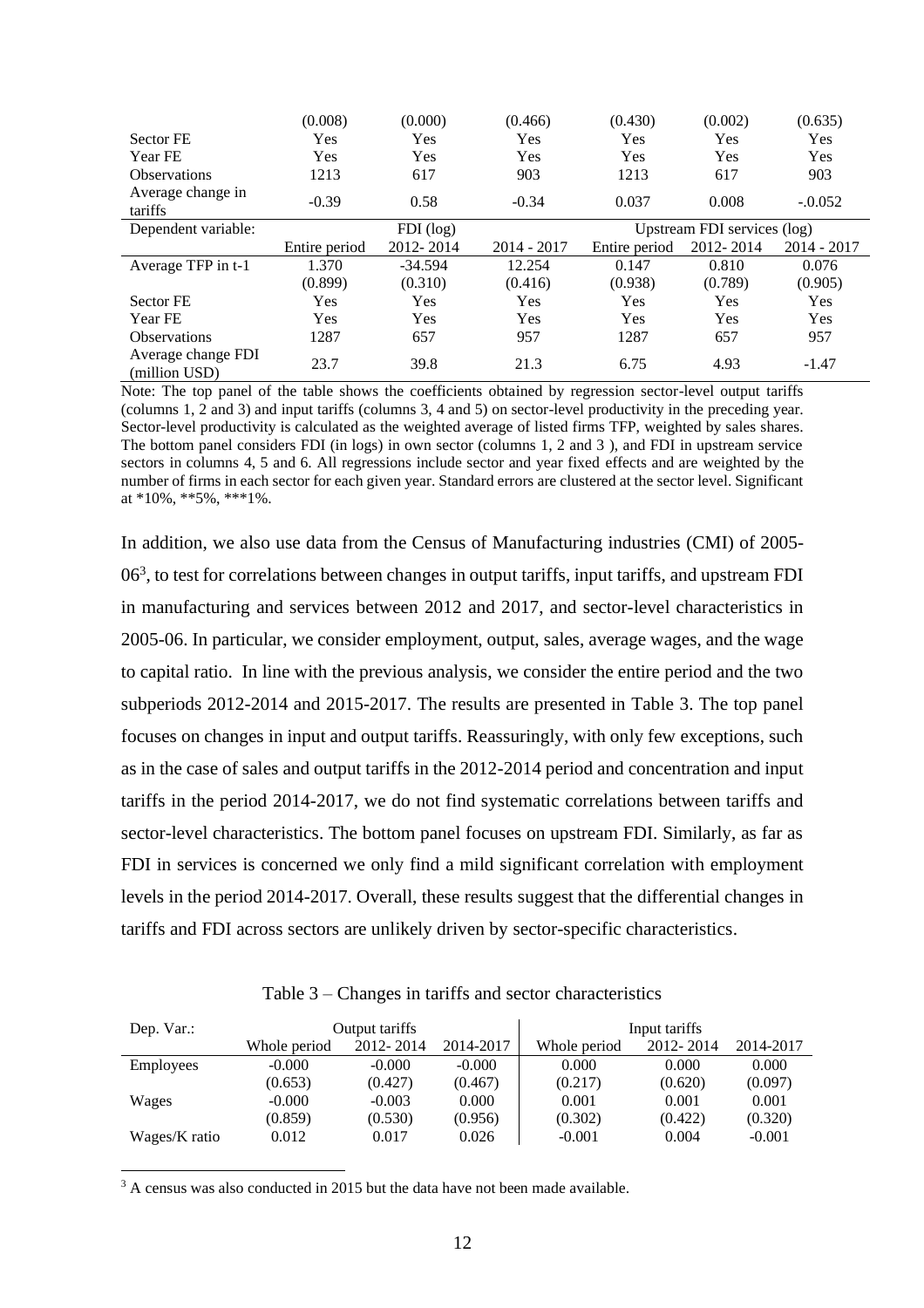|                                     | (0.008)       | (0.000)     | (0.466)       | (0.430)       | (0.002)                     | (0.635)     |
|-------------------------------------|---------------|-------------|---------------|---------------|-----------------------------|-------------|
| Sector FE                           | Yes           | Yes         | Yes           | Yes           | Yes                         | Yes         |
| Year FE                             | Yes           | Yes         | Yes           | Yes           | Yes                         | Yes         |
| <b>Observations</b>                 | 1213          | 617         | 903           | 1213          | 617                         | 903         |
| Average change in<br>tariffs        | $-0.39$       | 0.58        | $-0.34$       | 0.037         | 0.008                       | $-.0.052$   |
| Dependent variable:                 |               | $FDI$ (log) |               |               | Upstream FDI services (log) |             |
|                                     | Entire period | 2012-2014   | $2014 - 2017$ | Entire period | 2012-2014                   | 2014 - 2017 |
| Average TFP in t-1                  | 1.370         | $-34.594$   | 12.254        | 0.147         | 0.810                       | 0.076       |
|                                     | (0.899)       | (0.310)     | (0.416)       | (0.938)       | (0.789)                     | (0.905)     |
| Sector FE                           | Yes           | Yes         | Yes           | <b>Yes</b>    | Yes                         | Yes         |
| Year FE                             | <b>Yes</b>    | Yes         | Yes           | Yes           | Yes                         | Yes         |
| <b>Observations</b>                 | 1287          | 657         | 957           | 1287          | 657                         | 957         |
| Average change FDI<br>(million USD) | 23.7          | 39.8        | 21.3          | 6.75          | 4.93                        | $-1.47$     |

Note: The top panel of the table shows the coefficients obtained by regression sector-level output tariffs (columns 1, 2 and 3) and input tariffs (columns 3, 4 and 5) on sector-level productivity in the preceding year. Sector-level productivity is calculated as the weighted average of listed firms TFP, weighted by sales shares. The bottom panel considers FDI (in logs) in own sector (columns 1, 2 and 3 ), and FDI in upstream service sectors in columns 4, 5 and 6. All regressions include sector and year fixed effects and are weighted by the number of firms in each sector for each given year. Standard errors are clustered at the sector level. Significant at \*10%, \*\*5%, \*\*\*1%.

In addition, we also use data from the Census of Manufacturing industries (CMI) of 2005-  $06<sup>3</sup>$ , to test for correlations between changes in output tariffs, input tariffs, and upstream FDI in manufacturing and services between 2012 and 2017, and sector-level characteristics in 2005-06. In particular, we consider employment, output, sales, average wages, and the wage to capital ratio. In line with the previous analysis, we consider the entire period and the two subperiods 2012-2014 and 2015-2017. The results are presented in [Table 3.](#page-12-0) The top panel focuses on changes in input and output tariffs. Reassuringly, with only few exceptions, such as in the case of sales and output tariffs in the 2012-2014 period and concentration and input tariffs in the period 2014-2017, we do not find systematic correlations between tariffs and sector-level characteristics. The bottom panel focuses on upstream FDI. Similarly, as far as FDI in services is concerned we only find a mild significant correlation with employment levels in the period 2014-2017. Overall, these results suggest that the differential changes in tariffs and FDI across sectors are unlikely driven by sector-specific characteristics.

Table 3 – Changes in tariffs and sector characteristics

<span id="page-12-0"></span>

| Dep. Var.:       |              | Output tariffs |           |              | Input tariffs |           |
|------------------|--------------|----------------|-----------|--------------|---------------|-----------|
|                  | Whole period | 2012-2014      | 2014-2017 | Whole period | 2012-2014     | 2014-2017 |
| <b>Employees</b> | $-0.000$     | $-0.000$       | $-0.000$  | 0.000        | 0.000         | 0.000     |
|                  | (0.653)      | (0.427)        | (0.467)   | (0.217)      | (0.620)       | (0.097)   |
| Wages            | $-0.000$     | $-0.003$       | 0.000     | 0.001        | 0.001         | 0.001     |
|                  | (0.859)      | (0.530)        | (0.956)   | (0.302)      | (0.422)       | (0.320)   |
| Wages/K ratio    | 0.012        | 0.017          | 0.026     | $-0.001$     | 0.004         | $-0.001$  |

 $3$  A census was also conducted in 2015 but the data have not been made available.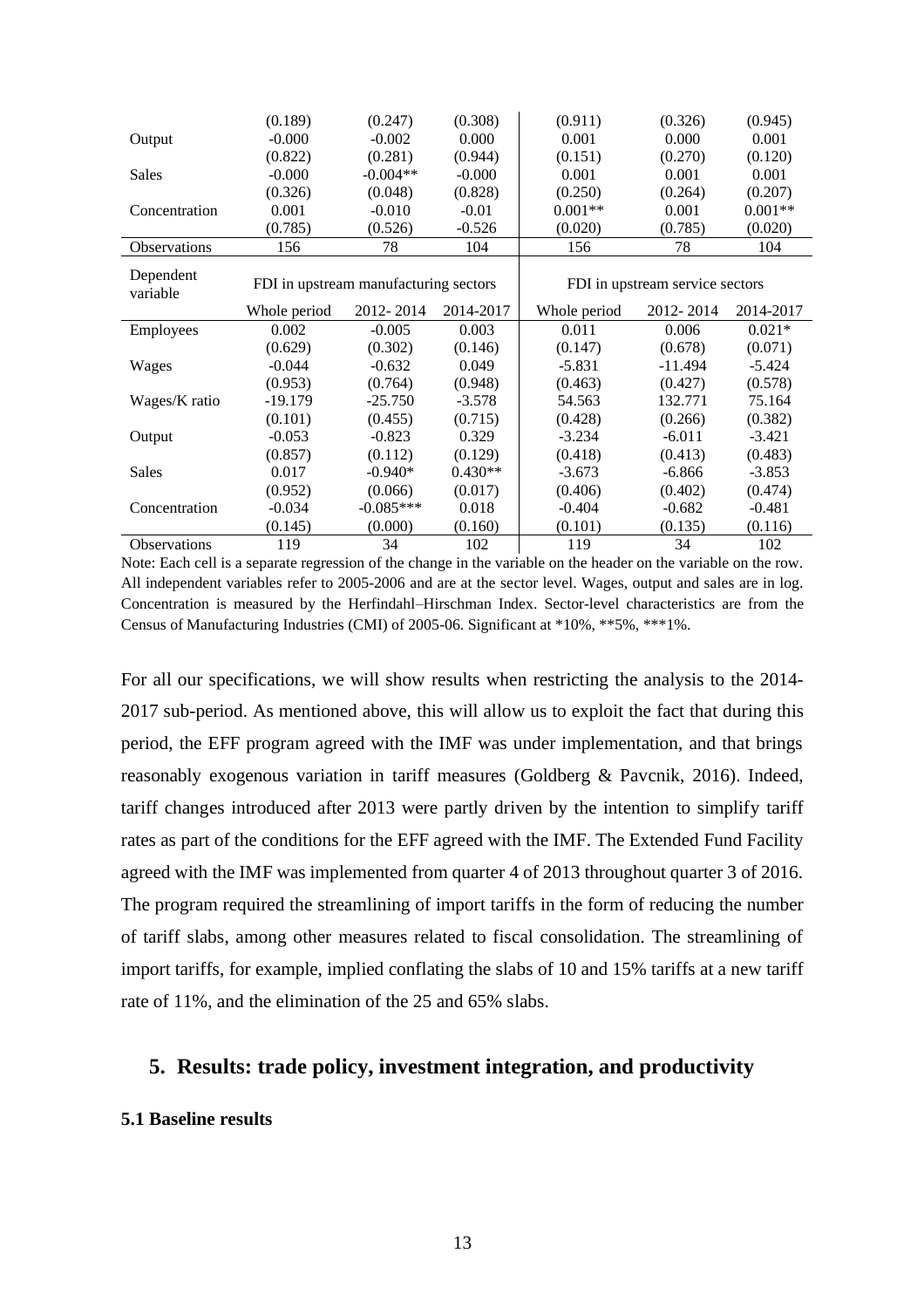|                     | (0.189)                               | (0.247)     | (0.308)   | (0.911)      | (0.326)                         | (0.945)   |
|---------------------|---------------------------------------|-------------|-----------|--------------|---------------------------------|-----------|
| Output              | $-0.000$                              | $-0.002$    | 0.000     | 0.001        | 0.000                           | 0.001     |
|                     | (0.822)                               | (0.281)     | (0.944)   | (0.151)      | (0.270)                         | (0.120)   |
| Sales               | $-0.000$                              | $-0.004**$  | $-0.000$  | 0.001        | 0.001                           | 0.001     |
|                     | (0.326)                               | (0.048)     | (0.828)   | (0.250)      | (0.264)                         | (0.207)   |
| Concentration       | 0.001                                 | $-0.010$    | $-0.01$   | $0.001**$    | 0.001                           | $0.001**$ |
|                     | (0.785)                               | (0.526)     | $-0.526$  | (0.020)      | (0.785)                         | (0.020)   |
| <b>Observations</b> | 156                                   | 78          | 104       | 156          | 78                              | 104       |
| Dependent           |                                       |             |           |              |                                 |           |
| variable            | FDI in upstream manufacturing sectors |             |           |              | FDI in upstream service sectors |           |
|                     | Whole period                          | 2012-2014   | 2014-2017 | Whole period | 2012-2014                       | 2014-2017 |
| Employees           | 0.002                                 | $-0.005$    | 0.003     | 0.011        | 0.006                           | $0.021*$  |
|                     | (0.629)                               | (0.302)     | (0.146)   | (0.147)      | (0.678)                         | (0.071)   |
| Wages               | $-0.044$                              | $-0.632$    | 0.049     | $-5.831$     | -11.494                         | $-5.424$  |
|                     | (0.953)                               | (0.764)     | (0.948)   | (0.463)      | (0.427)                         | (0.578)   |
| Wages/K ratio       | $-19.179$                             | $-25.750$   | $-3.578$  | 54.563       | 132.771                         | 75.164    |
|                     | (0.101)                               | (0.455)     | (0.715)   | (0.428)      | (0.266)                         | (0.382)   |
| Output              | $-0.053$                              | $-0.823$    | 0.329     | $-3.234$     | $-6.011$                        | $-3.421$  |
|                     | (0.857)                               | (0.112)     | (0.129)   | (0.418)      | (0.413)                         | (0.483)   |
| Sales               | 0.017                                 | $-0.940*$   | $0.430**$ | $-3.673$     | $-6.866$                        | $-3.853$  |
|                     | (0.952)                               | (0.066)     | (0.017)   | (0.406)      | (0.402)                         | (0.474)   |
| Concentration       | $-0.034$                              | $-0.085***$ | 0.018     | $-0.404$     | $-0.682$                        | $-0.481$  |
|                     | (0.145)                               | (0.000)     | (0.160)   | (0.101)      | (0.135)                         | (0.116)   |
| Observations        | 119                                   | 34          | 102       | 119          | 34                              | 102       |

Note: Each cell is a separate regression of the change in the variable on the header on the variable on the row. All independent variables refer to 2005-2006 and are at the sector level. Wages, output and sales are in log. Concentration is measured by the Herfindahl–Hirschman Index. Sector-level characteristics are from the Census of Manufacturing Industries (CMI) of 2005-06. Significant at \*10%, \*\*5%, \*\*\*1%.

For all our specifications, we will show results when restricting the analysis to the 2014- 2017 sub-period. As mentioned above, this will allow us to exploit the fact that during this period, the EFF program agreed with the IMF was under implementation, and that brings reasonably exogenous variation in tariff measures (Goldberg & Pavcnik, 2016). Indeed, tariff changes introduced after 2013 were partly driven by the intention to simplify tariff rates as part of the conditions for the EFF agreed with the IMF. The Extended Fund Facility agreed with the IMF was implemented from quarter 4 of 2013 throughout quarter 3 of 2016. The program required the streamlining of import tariffs in the form of reducing the number of tariff slabs, among other measures related to fiscal consolidation. The streamlining of import tariffs, for example, implied conflating the slabs of 10 and 15% tariffs at a new tariff rate of 11%, and the elimination of the 25 and 65% slabs.

#### **5. Results: trade policy, investment integration, and productivity**

#### **5.1 Baseline results**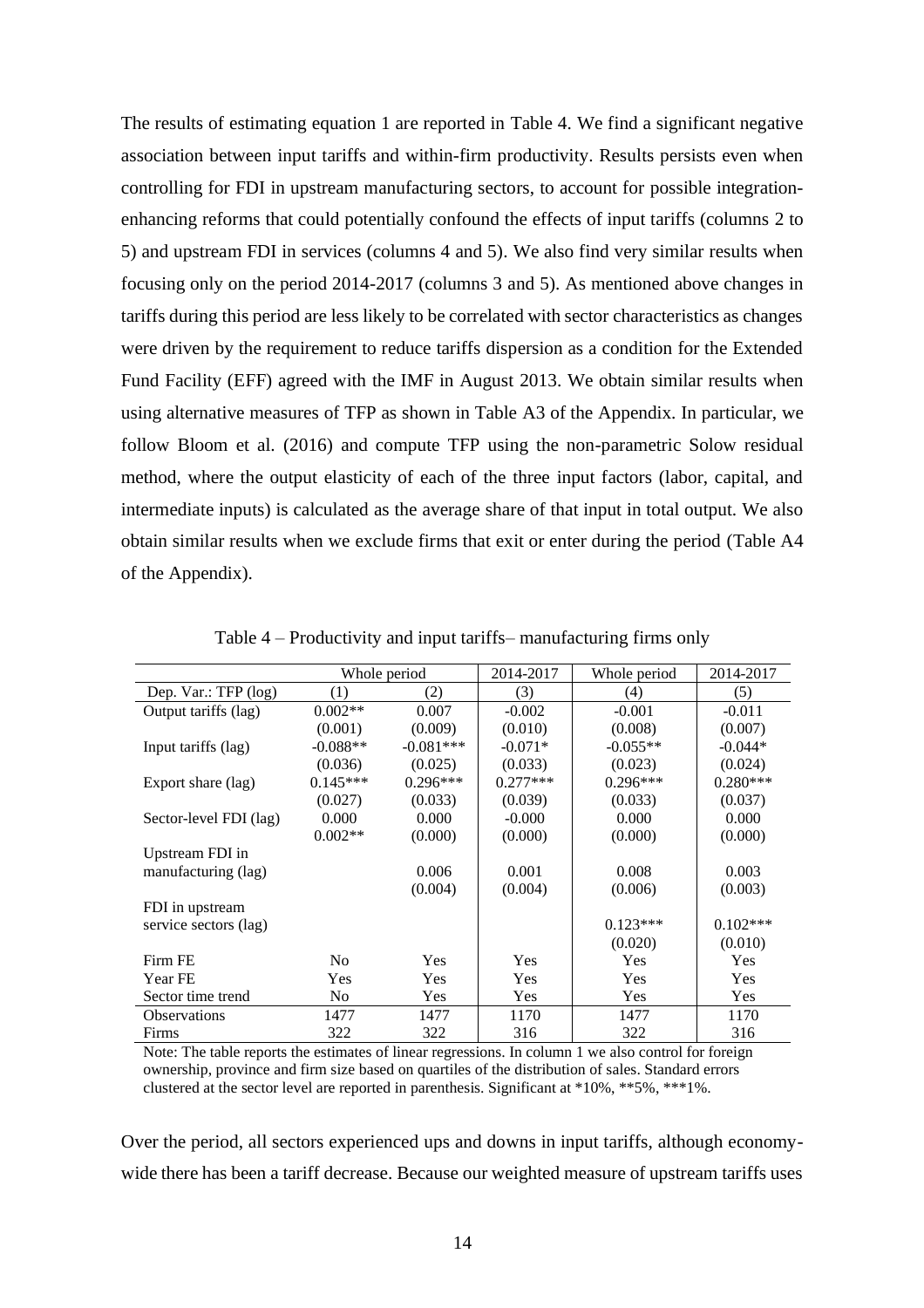The results of estimating equation 1 are reported in [Table 4.](#page-14-0) We find a significant negative association between input tariffs and within-firm productivity. Results persists even when controlling for FDI in upstream manufacturing sectors, to account for possible integrationenhancing reforms that could potentially confound the effects of input tariffs (columns 2 to 5) and upstream FDI in services (columns 4 and 5). We also find very similar results when focusing only on the period 2014-2017 (columns 3 and 5). As mentioned above changes in tariffs during this period are less likely to be correlated with sector characteristics as changes were driven by the requirement to reduce tariffs dispersion as a condition for the Extended Fund Facility (EFF) agreed with the IMF in August 2013. We obtain similar results when using alternative measures of TFP as shown in Table A3 of the Appendix. In particular, we follow Bloom et al. (2016) and compute TFP using the non-parametric Solow residual method, where the output elasticity of each of the three input factors (labor, capital, and intermediate inputs) is calculated as the average share of that input in total output. We also obtain similar results when we exclude firms that exit or enter during the period (Table A4 of the Appendix).

<span id="page-14-0"></span>

|                        | Whole period   |             | 2014-2017  | Whole period | 2014-2017  |
|------------------------|----------------|-------------|------------|--------------|------------|
| Dep. Var.: TFP (log)   | (1)            | (2)         | (3)        | (4)          | (5)        |
| Output tariffs (lag)   | $0.002**$      | 0.007       | $-0.002$   | $-0.001$     | $-0.011$   |
|                        | (0.001)        | (0.009)     | (0.010)    | (0.008)      | (0.007)    |
| Input tariffs (lag)    | $-0.088**$     | $-0.081***$ | $-0.071*$  | $-0.055**$   | $-0.044*$  |
|                        | (0.036)        | (0.025)     | (0.033)    | (0.023)      | (0.024)    |
| Export share (lag)     | $0.145***$     | $0.296***$  | $0.277***$ | $0.296***$   | $0.280***$ |
|                        | (0.027)        | (0.033)     | (0.039)    | (0.033)      | (0.037)    |
| Sector-level FDI (lag) | 0.000          | 0.000       | $-0.000$   | 0.000        | 0.000      |
|                        | $0.002**$      | (0.000)     | (0.000)    | (0.000)      | (0.000)    |
| Upstream FDI in        |                |             |            |              |            |
| manufacturing (lag)    |                | 0.006       | 0.001      | 0.008        | 0.003      |
|                        |                | (0.004)     | (0.004)    | (0.006)      | (0.003)    |
| FDI in upstream        |                |             |            |              |            |
| service sectors (lag)  |                |             |            | $0.123***$   | $0.102***$ |
|                        |                |             |            | (0.020)      | (0.010)    |
| Firm FE                | N <sub>o</sub> | <b>Yes</b>  | Yes        | Yes          | Yes        |
| Year FE                | <b>Yes</b>     | Yes         | Yes        | Yes          | Yes        |
| Sector time trend      | N <sub>0</sub> | Yes         | Yes        | <b>Yes</b>   | Yes        |
| <b>Observations</b>    | 1477           | 1477        | 1170       | 1477         | 1170       |
| Firms                  | 322            | 322         | 316        | 322          | 316        |

Table 4 – Productivity and input tariffs– manufacturing firms only

Note: The table reports the estimates of linear regressions. In column 1 we also control for foreign ownership, province and firm size based on quartiles of the distribution of sales. Standard errors clustered at the sector level are reported in parenthesis. Significant at \*10%, \*\*5%, \*\*\*1%.

Over the period, all sectors experienced ups and downs in input tariffs, although economywide there has been a tariff decrease. Because our weighted measure of upstream tariffs uses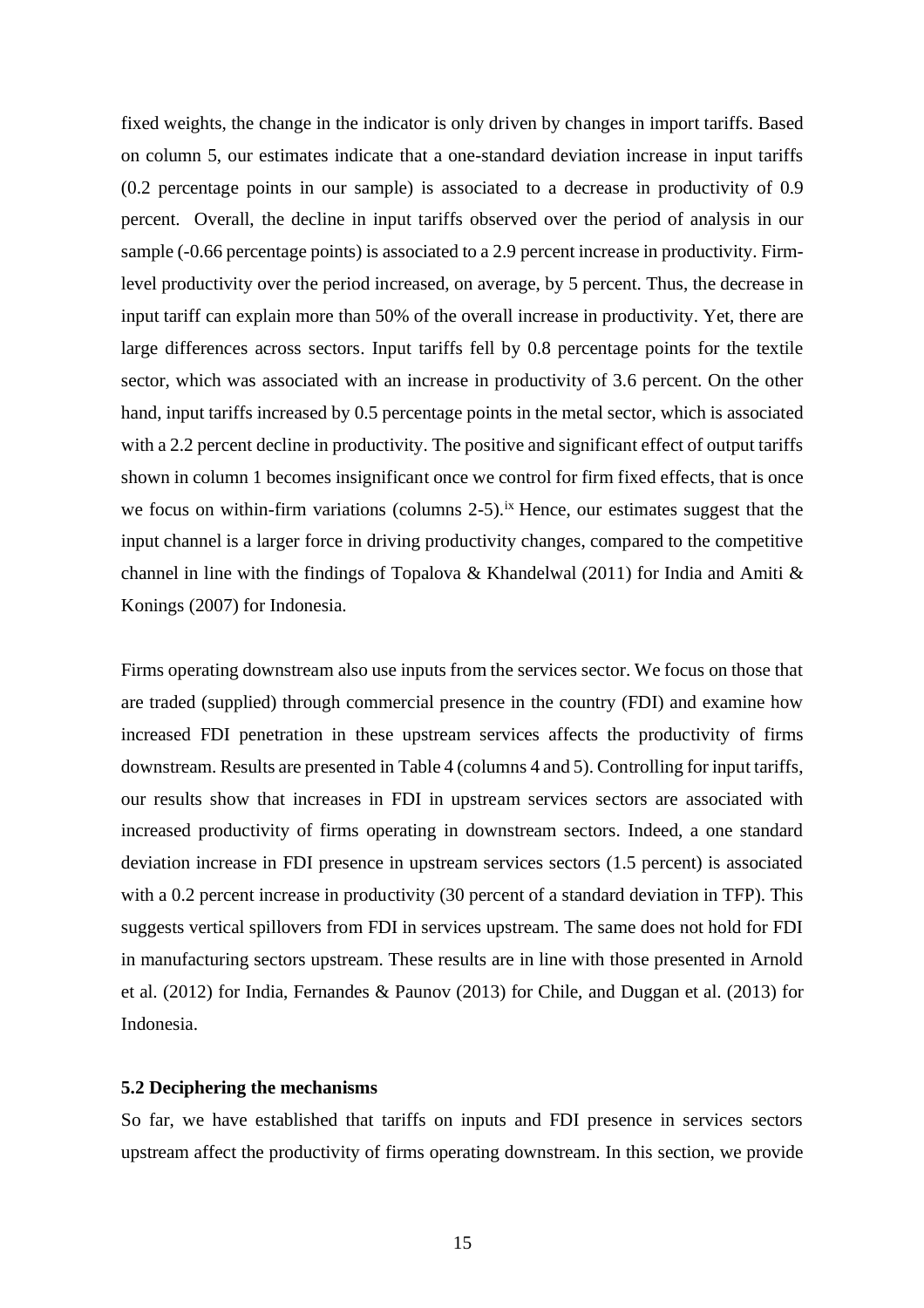fixed weights, the change in the indicator is only driven by changes in import tariffs. Based on column 5, our estimates indicate that a one-standard deviation increase in input tariffs (0.2 percentage points in our sample) is associated to a decrease in productivity of 0.9 percent. Overall, the decline in input tariffs observed over the period of analysis in our sample (-0.66 percentage points) is associated to a 2.9 percent increase in productivity. Firmlevel productivity over the period increased, on average, by 5 percent. Thus, the decrease in input tariff can explain more than 50% of the overall increase in productivity. Yet, there are large differences across sectors. Input tariffs fell by 0.8 percentage points for the textile sector, which was associated with an increase in productivity of 3.6 percent. On the other hand, input tariffs increased by 0.5 percentage points in the metal sector, which is associated with a 2.2 percent decline in productivity. The positive and significant effect of output tariffs shown in column 1 becomes insignificant once we control for firm fixed effects, that is once we focus on within-firm variations (columns  $2-5$ ).<sup>ix</sup> Hence, our estimates suggest that the input channel is a larger force in driving productivity changes, compared to the competitive channel in line with the findings of Topalova & Khandelwal (2011) for India and Amiti & Konings (2007) for Indonesia.

Firms operating downstream also use inputs from the services sector. We focus on those that are traded (supplied) through commercial presence in the country (FDI) and examine how increased FDI penetration in these upstream services affects the productivity of firms downstream. Results are presented in [Table 4](#page-14-0) (columns 4 and 5). Controlling for input tariffs, our results show that increases in FDI in upstream services sectors are associated with increased productivity of firms operating in downstream sectors. Indeed, a one standard deviation increase in FDI presence in upstream services sectors (1.5 percent) is associated with a 0.2 percent increase in productivity (30 percent of a standard deviation in TFP). This suggests vertical spillovers from FDI in services upstream. The same does not hold for FDI in manufacturing sectors upstream. These results are in line with those presented in Arnold et al. (2012) for India, Fernandes & Paunov (2013) for Chile, and Duggan et al. (2013) for Indonesia.

#### **5.2 Deciphering the mechanisms**

So far, we have established that tariffs on inputs and FDI presence in services sectors upstream affect the productivity of firms operating downstream. In this section, we provide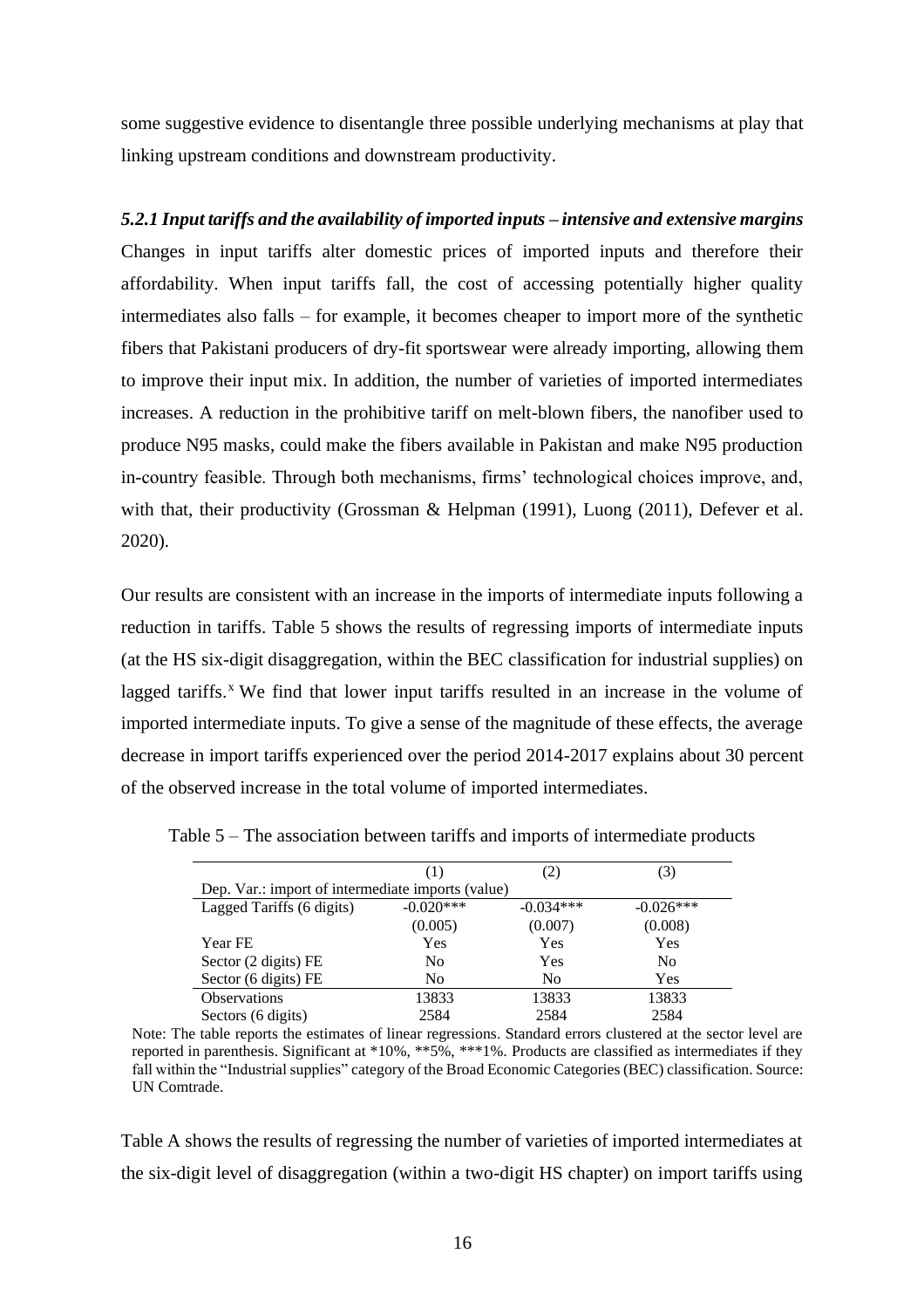some suggestive evidence to disentangle three possible underlying mechanisms at play that linking upstream conditions and downstream productivity.

*5.2.1 Input tariffs and the availability of imported inputs – intensive and extensive margins* Changes in input tariffs alter domestic prices of imported inputs and therefore their affordability. When input tariffs fall, the cost of accessing potentially higher quality intermediates also falls – for example, it becomes cheaper to import more of the synthetic fibers that Pakistani producers of dry-fit sportswear were already importing, allowing them to improve their input mix. In addition, the number of varieties of imported intermediates increases. A reduction in the prohibitive tariff on melt-blown fibers, the nanofiber used to produce N95 masks, could make the fibers available in Pakistan and make N95 production in-country feasible. Through both mechanisms, firms' technological choices improve, and, with that, their productivity (Grossman & Helpman (1991), Luong (2011), Defever et al. 2020).

Our results are consistent with an increase in the imports of intermediate inputs following a reduction in tariffs. [Table 5](#page-16-0) shows the results of regressing imports of intermediate inputs (at the HS six-digit disaggregation, within the BEC classification for industrial supplies) on lagged tariffs. $\chi$  We find that lower input tariffs resulted in an increase in the volume of imported intermediate inputs. To give a sense of the magnitude of these effects, the average decrease in import tariffs experienced over the period 2014-2017 explains about 30 percent of the observed increase in the total volume of imported intermediates.

|                                                   | (1)            | 2)          | (3)            |
|---------------------------------------------------|----------------|-------------|----------------|
| Dep. Var.: import of intermediate imports (value) |                |             |                |
| Lagged Tariffs (6 digits)                         | $-0.020***$    | $-0.034***$ | $-0.026***$    |
|                                                   | (0.005)        | (0.007)     | (0.008)        |
| Year FE                                           | <b>Yes</b>     | Yes         | Yes            |
| Sector (2 digits) FE                              | N <sub>0</sub> | Yes         | N <sub>0</sub> |
| Sector (6 digits) FE                              | No             | No          | Yes            |
| <b>Observations</b>                               | 13833          | 13833       | 13833          |
| Sectors (6 digits)                                | 2584           | 2584        | 2584           |

<span id="page-16-0"></span>Table 5 – The association between tariffs and imports of intermediate products

Note: The table reports the estimates of linear regressions. Standard errors clustered at the sector level are reported in parenthesis. Significant at \*10%, \*\*5%, \*\*\*1%. Products are classified as intermediates if they fall within the "Industrial supplies" category of the Broad Economic Categories (BEC) classification. Source: UN Comtrade.

Table A shows the results of regressing the number of varieties of imported intermediates at the six-digit level of disaggregation (within a two-digit HS chapter) on import tariffs using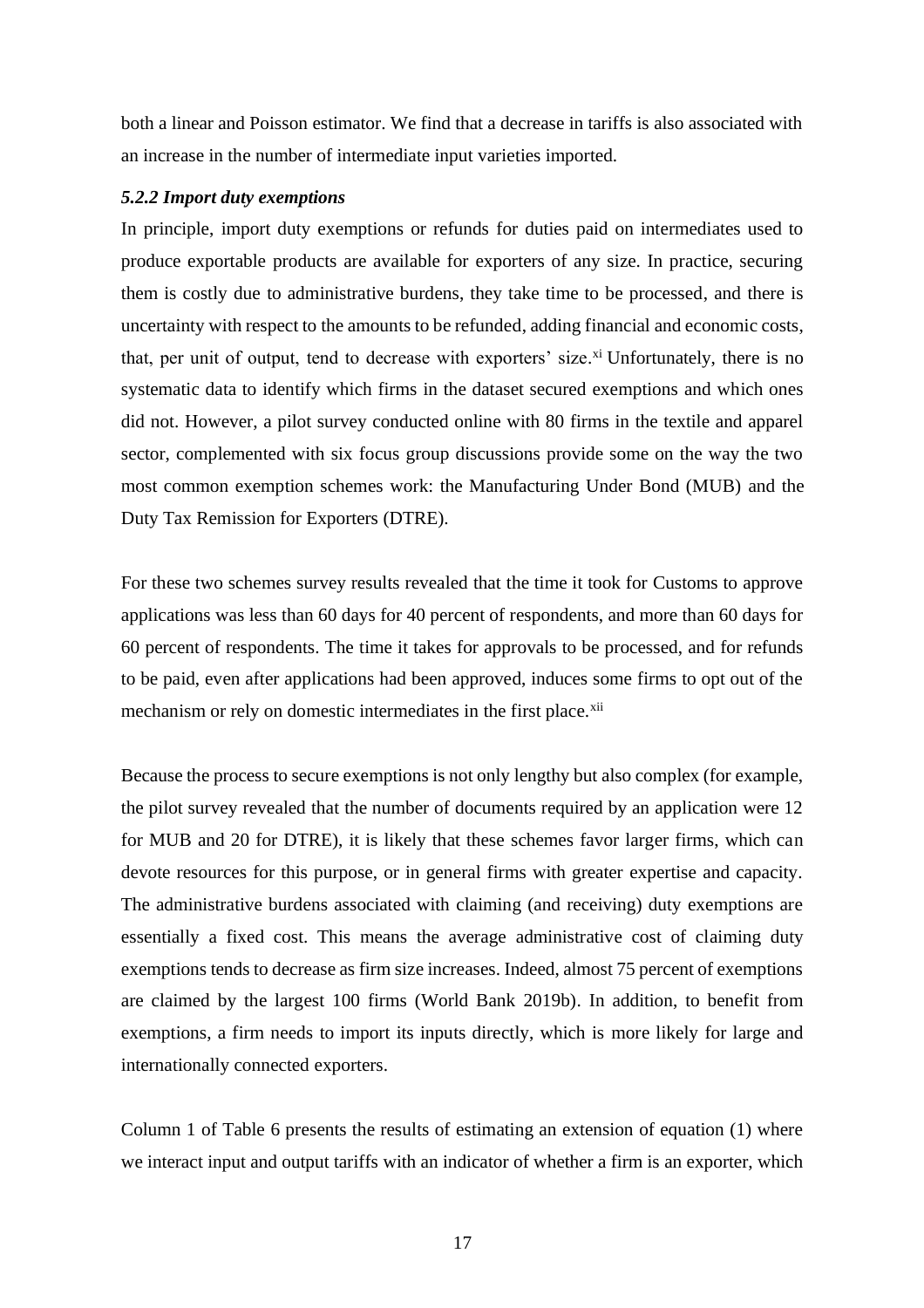both a linear and Poisson estimator. We find that a decrease in tariffs is also associated with an increase in the number of intermediate input varieties imported.

#### *5.2.2 Import duty exemptions*

In principle, import duty exemptions or refunds for duties paid on intermediates used to produce exportable products are available for exporters of any size. In practice, securing them is costly due to administrative burdens, they take time to be processed, and there is uncertainty with respect to the amounts to be refunded, adding financial and economic costs, that, per unit of output, tend to decrease with exporters' size.<sup>xi</sup> Unfortunately, there is no systematic data to identify which firms in the dataset secured exemptions and which ones did not. However, a pilot survey conducted online with 80 firms in the textile and apparel sector, complemented with six focus group discussions provide some on the way the two most common exemption schemes work: the Manufacturing Under Bond (MUB) and the Duty Tax Remission for Exporters (DTRE).

For these two schemes survey results revealed that the time it took for Customs to approve applications was less than 60 days for 40 percent of respondents, and more than 60 days for 60 percent of respondents. The time it takes for approvals to be processed, and for refunds to be paid, even after applications had been approved, induces some firms to opt out of the mechanism or rely on domestic intermediates in the first place.<sup>xii</sup>

Because the process to secure exemptions is not only lengthy but also complex (for example, the pilot survey revealed that the number of documents required by an application were 12 for MUB and 20 for DTRE), it is likely that these schemes favor larger firms, which can devote resources for this purpose, or in general firms with greater expertise and capacity. The administrative burdens associated with claiming (and receiving) duty exemptions are essentially a fixed cost. This means the average administrative cost of claiming duty exemptions tends to decrease as firm size increases. Indeed, almost 75 percent of exemptions are claimed by the largest 100 firms (World Bank 2019b). In addition, to benefit from exemptions, a firm needs to import its inputs directly, which is more likely for large and internationally connected exporters.

Column 1 of [Table 6](#page-18-0) presents the results of estimating an extension of equation (1) where we interact input and output tariffs with an indicator of whether a firm is an exporter, which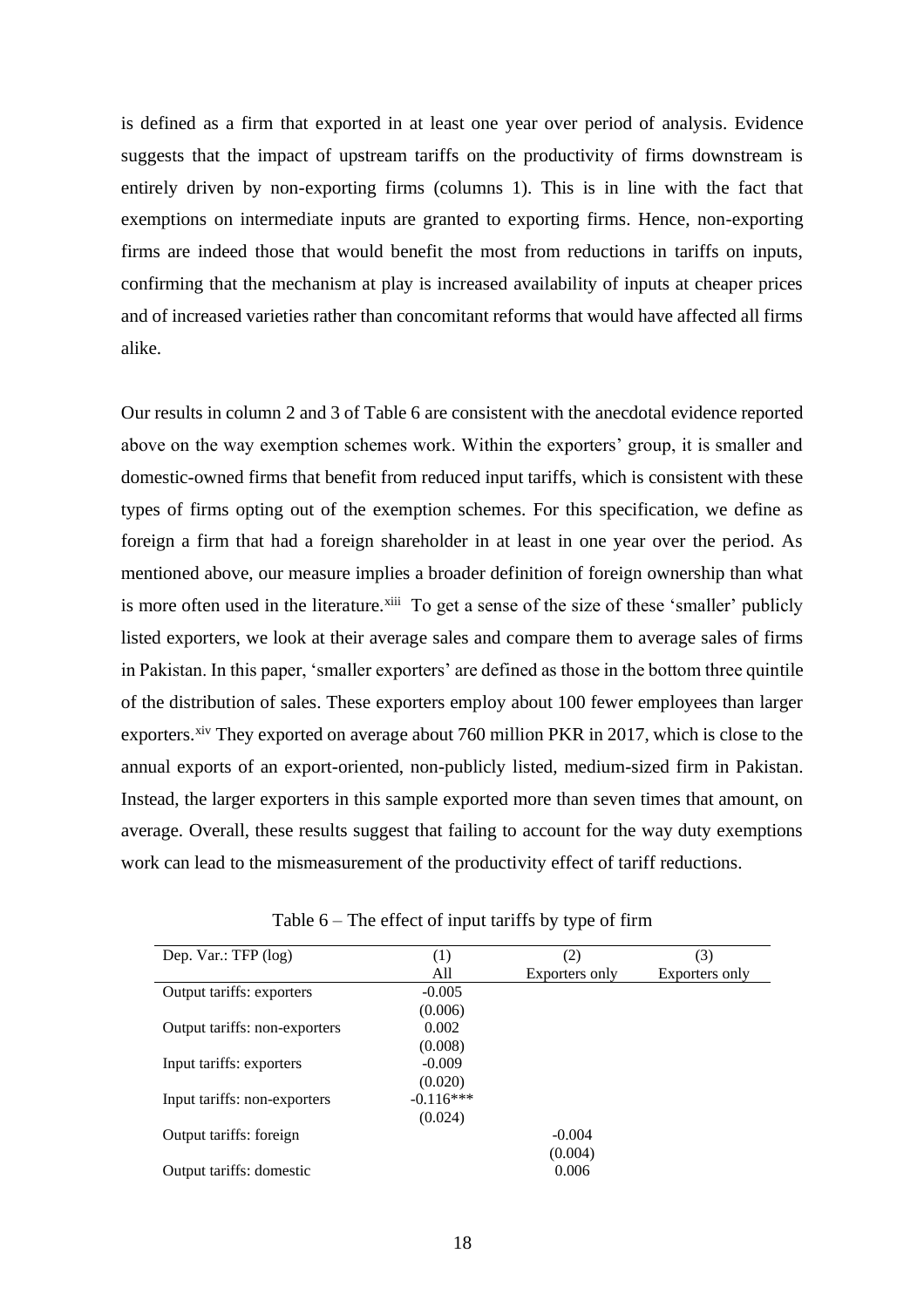is defined as a firm that exported in at least one year over period of analysis. Evidence suggests that the impact of upstream tariffs on the productivity of firms downstream is entirely driven by non-exporting firms (columns 1). This is in line with the fact that exemptions on intermediate inputs are granted to exporting firms. Hence, non-exporting firms are indeed those that would benefit the most from reductions in tariffs on inputs, confirming that the mechanism at play is increased availability of inputs at cheaper prices and of increased varieties rather than concomitant reforms that would have affected all firms alike.

Our results in column 2 and 3 of [Table 6](#page-18-0) are consistent with the anecdotal evidence reported above on the way exemption schemes work. Within the exporters' group, it is smaller and domestic-owned firms that benefit from reduced input tariffs, which is consistent with these types of firms opting out of the exemption schemes. For this specification, we define as foreign a firm that had a foreign shareholder in at least in one year over the period. As mentioned above, our measure implies a broader definition of foreign ownership than what is more often used in the literature.<sup>xiii</sup> To get a sense of the size of these 'smaller' publicly listed exporters, we look at their average sales and compare them to average sales of firms in Pakistan. In this paper, 'smaller exporters' are defined as those in the bottom three quintile of the distribution of sales. These exporters employ about 100 fewer employees than larger exporters.<sup>xiv</sup> They exported on average about 760 million PKR in 2017, which is close to the annual exports of an export-oriented, non-publicly listed, medium-sized firm in Pakistan. Instead, the larger exporters in this sample exported more than seven times that amount, on average. Overall, these results suggest that failing to account for the way duty exemptions work can lead to the mismeasurement of the productivity effect of tariff reductions.

<span id="page-18-0"></span>

| Dep. Var.: TFP $(log)$        | $\left(1\right)$ | (2)            | (3)            |
|-------------------------------|------------------|----------------|----------------|
|                               | All              | Exporters only | Exporters only |
| Output tariffs: exporters     | $-0.005$         |                |                |
|                               | (0.006)          |                |                |
| Output tariffs: non-exporters | 0.002            |                |                |
|                               | (0.008)          |                |                |
| Input tariffs: exporters      | $-0.009$         |                |                |
|                               | (0.020)          |                |                |
| Input tariffs: non-exporters  | $-0.116***$      |                |                |
|                               | (0.024)          |                |                |
| Output tariffs: foreign       |                  | $-0.004$       |                |
|                               |                  | (0.004)        |                |
| Output tariffs: domestic      |                  | 0.006          |                |

Table  $6$  – The effect of input tariffs by type of firm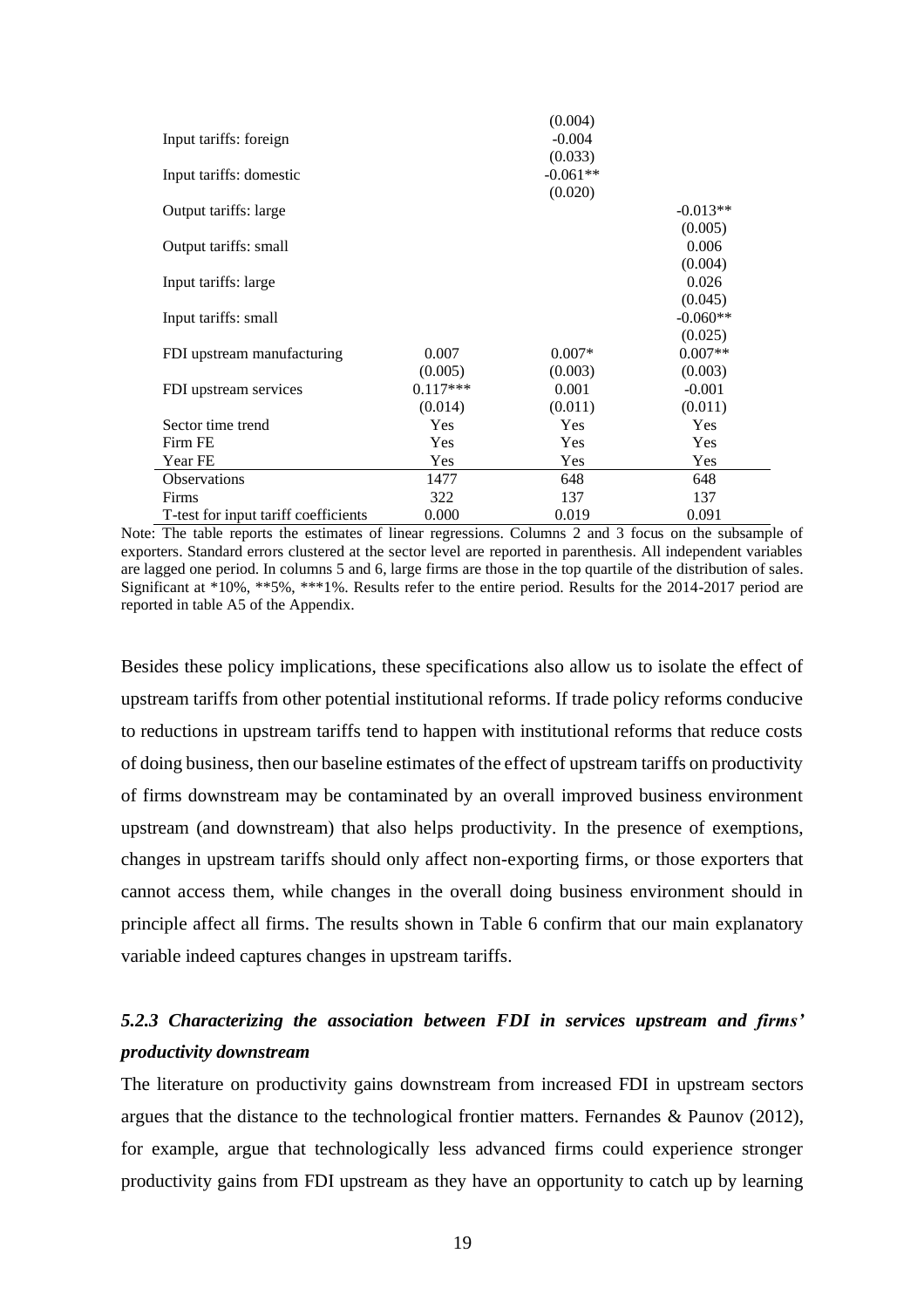|                                      |            | (0.004)    |            |
|--------------------------------------|------------|------------|------------|
| Input tariffs: foreign               |            | $-0.004$   |            |
|                                      |            | (0.033)    |            |
| Input tariffs: domestic              |            | $-0.061**$ |            |
|                                      |            | (0.020)    |            |
| Output tariffs: large                |            |            | $-0.013**$ |
|                                      |            |            | (0.005)    |
| Output tariffs: small                |            |            | 0.006      |
|                                      |            |            | (0.004)    |
| Input tariffs: large                 |            |            | 0.026      |
|                                      |            |            | (0.045)    |
| Input tariffs: small                 |            |            | $-0.060**$ |
|                                      |            |            | (0.025)    |
| FDI upstream manufacturing           | 0.007      | $0.007*$   | $0.007**$  |
|                                      | (0.005)    | (0.003)    | (0.003)    |
| FDI upstream services                | $0.117***$ | 0.001      | $-0.001$   |
|                                      | (0.014)    | (0.011)    | (0.011)    |
| Sector time trend                    | <b>Yes</b> | Yes        | Yes        |
| Firm FE                              | <b>Yes</b> | <b>Yes</b> | Yes        |
| Year FE                              | Yes        | Yes        | Yes        |
| <b>Observations</b>                  | 1477       | 648        | 648        |
| <b>Firms</b>                         | 322        | 137        | 137        |
| T-test for input tariff coefficients | 0.000      | 0.019      | 0.091      |

Note: The table reports the estimates of linear regressions. Columns 2 and 3 focus on the subsample of exporters. Standard errors clustered at the sector level are reported in parenthesis. All independent variables are lagged one period. In columns 5 and 6, large firms are those in the top quartile of the distribution of sales. Significant at \*10%, \*\*5%, \*\*\*1%. Results refer to the entire period. Results for the 2014-2017 period are reported in table A5 of the Appendix.

Besides these policy implications, these specifications also allow us to isolate the effect of upstream tariffs from other potential institutional reforms. If trade policy reforms conducive to reductions in upstream tariffs tend to happen with institutional reforms that reduce costs of doing business, then our baseline estimates of the effect of upstream tariffs on productivity of firms downstream may be contaminated by an overall improved business environment upstream (and downstream) that also helps productivity. In the presence of exemptions, changes in upstream tariffs should only affect non-exporting firms, or those exporters that cannot access them, while changes in the overall doing business environment should in principle affect all firms. The results shown in [Table 6](#page-18-0) confirm that our main explanatory variable indeed captures changes in upstream tariffs.

## *5.2.3 Characterizing the association between FDI in services upstream and firms' productivity downstream*

The literature on productivity gains downstream from increased FDI in upstream sectors argues that the distance to the technological frontier matters. Fernandes & Paunov (2012), for example, argue that technologically less advanced firms could experience stronger productivity gains from FDI upstream as they have an opportunity to catch up by learning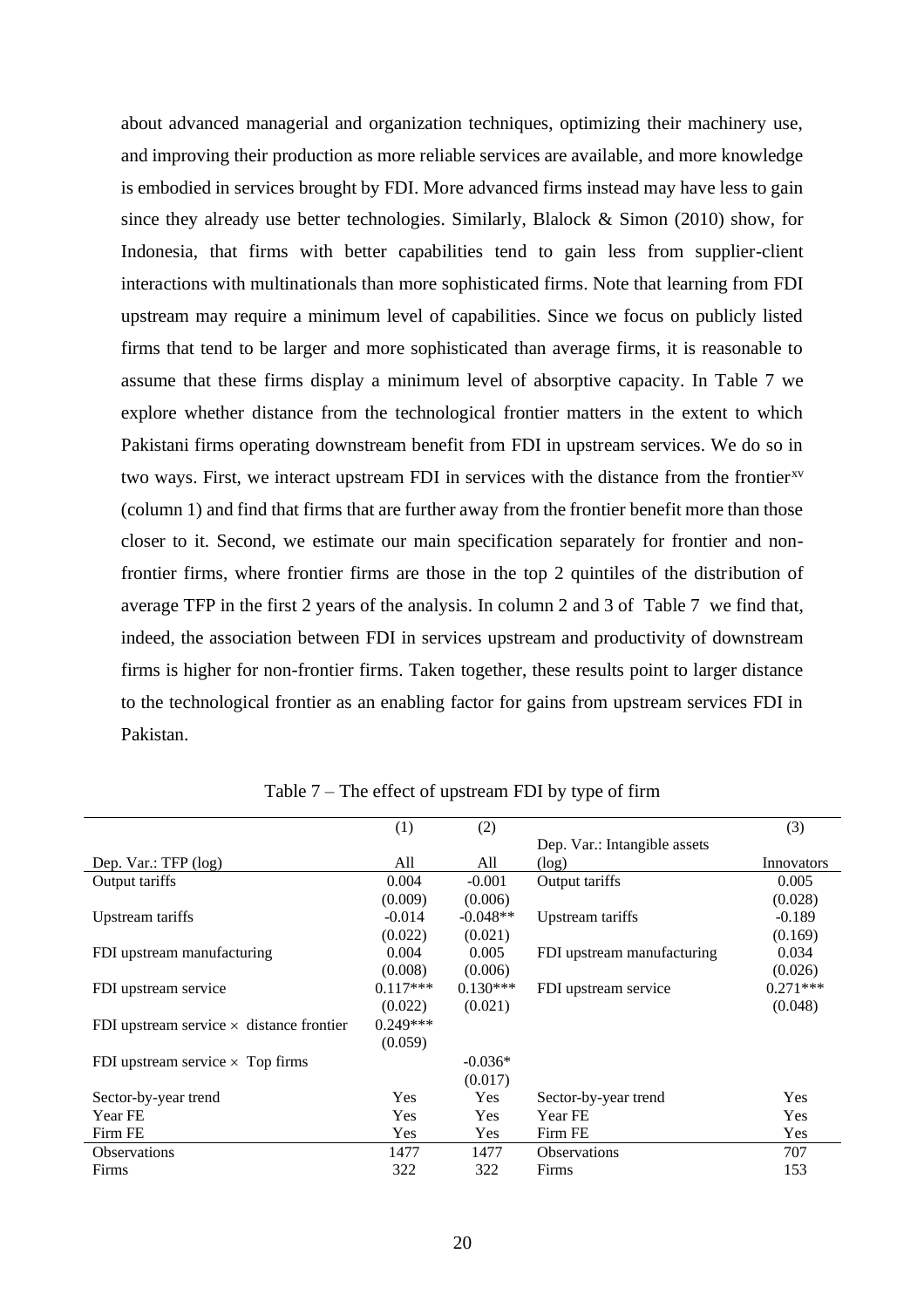about advanced managerial and organization techniques, optimizing their machinery use, and improving their production as more reliable services are available, and more knowledge is embodied in services brought by FDI. More advanced firms instead may have less to gain since they already use better technologies. Similarly, Blalock & Simon (2010) show, for Indonesia, that firms with better capabilities tend to gain less from supplier-client interactions with multinationals than more sophisticated firms. Note that learning from FDI upstream may require a minimum level of capabilities. Since we focus on publicly listed firms that tend to be larger and more sophisticated than average firms, it is reasonable to assume that these firms display a minimum level of absorptive capacity. In Table 7 we explore whether distance from the technological frontier matters in the extent to which Pakistani firms operating downstream benefit from FDI in upstream services. We do so in two ways. First, we interact upstream FDI in services with the distance from the frontier<sup>xv</sup> (column 1) and find that firms that are further away from the frontier benefit more than those closer to it. Second, we estimate our main specification separately for frontier and nonfrontier firms, where frontier firms are those in the top 2 quintiles of the distribution of average TFP in the first 2 years of the analysis. In column 2 and 3 of [Table 7](#page-20-0) we find that, indeed, the association between FDI in services upstream and productivity of downstream firms is higher for non-frontier firms. Taken together, these results point to larger distance to the technological frontier as an enabling factor for gains from upstream services FDI in Pakistan.

<span id="page-20-0"></span>

|                                                 | (1)        | (2)        |                              | (3)        |
|-------------------------------------------------|------------|------------|------------------------------|------------|
|                                                 |            |            | Dep. Var.: Intangible assets |            |
| Dep. Var.: TFP (log)                            | All        | All        | (log)                        | Innovators |
| Output tariffs                                  | 0.004      | $-0.001$   | Output tariffs               | 0.005      |
|                                                 | (0.009)    | (0.006)    |                              | (0.028)    |
| Upstream tariffs                                | $-0.014$   | $-0.048**$ | Upstream tariffs             | $-0.189$   |
|                                                 | (0.022)    | (0.021)    |                              | (0.169)    |
| FDI upstream manufacturing                      | 0.004      | 0.005      | FDI upstream manufacturing   | 0.034      |
|                                                 | (0.008)    | (0.006)    |                              | (0.026)    |
| FDI upstream service                            | $0.117***$ | $0.130***$ | FDI upstream service         | $0.271***$ |
|                                                 | (0.022)    | (0.021)    |                              | (0.048)    |
| FDI upstream service $\times$ distance frontier | $0.249***$ |            |                              |            |
|                                                 | (0.059)    |            |                              |            |
| FDI upstream service $\times$ Top firms         |            | $-0.036*$  |                              |            |
|                                                 |            | (0.017)    |                              |            |
| Sector-by-year trend                            | <b>Yes</b> | Yes        | Sector-by-year trend         | Yes        |
| Year FE                                         | <b>Yes</b> | <b>Yes</b> | Year FE                      | Yes        |
| Firm FE                                         | Yes        | <b>Yes</b> | Firm FE                      | Yes        |
| <b>Observations</b>                             | 1477       | 1477       | <b>Observations</b>          | 707        |
| Firms                                           | 322        | 322        | Firms                        | 153        |

Table 7 – The effect of upstream FDI by type of firm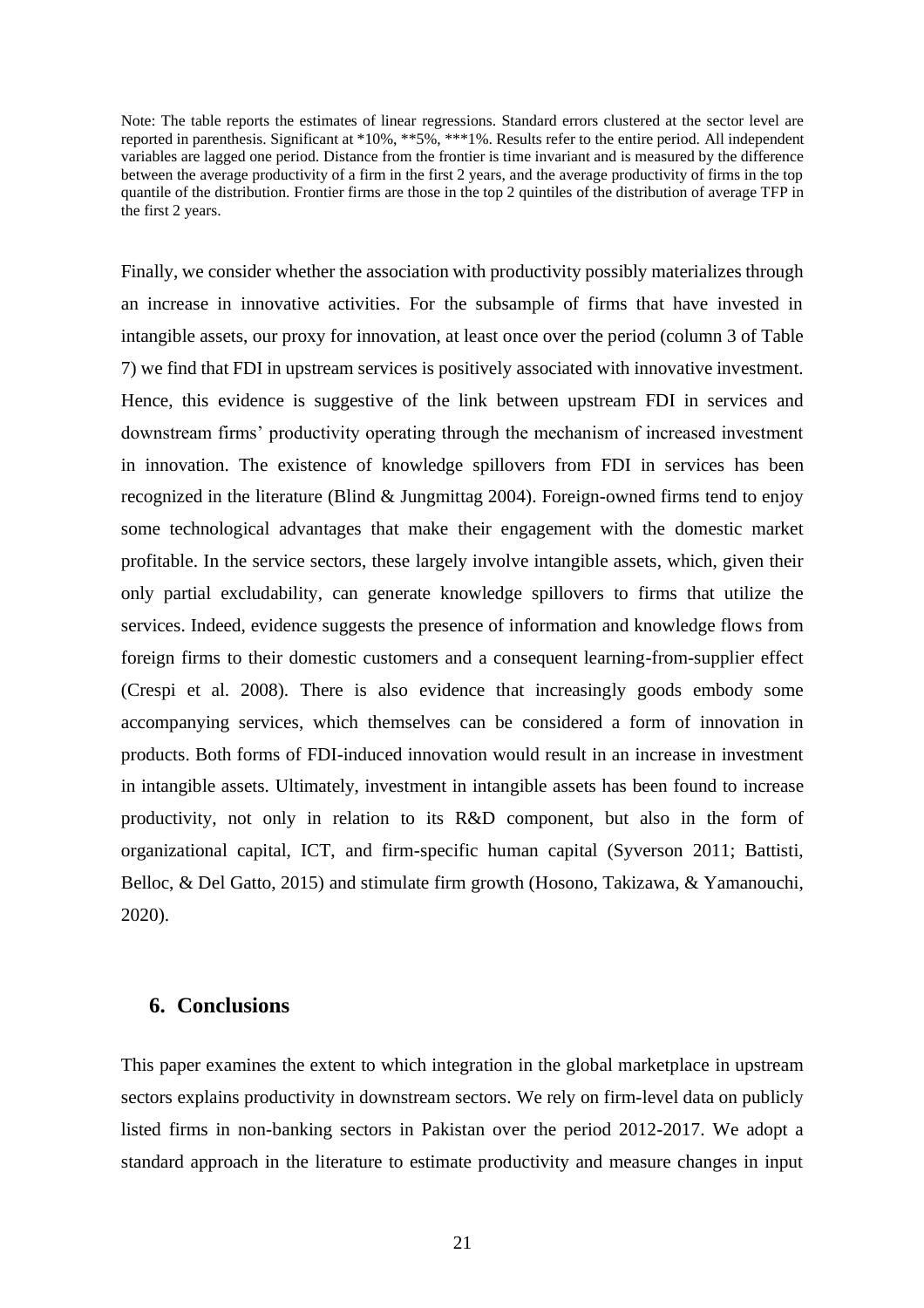Note: The table reports the estimates of linear regressions. Standard errors clustered at the sector level are reported in parenthesis. Significant at \*10%, \*\*5%, \*\*\*1%. Results refer to the entire period. All independent variables are lagged one period. Distance from the frontier is time invariant and is measured by the difference between the average productivity of a firm in the first 2 years, and the average productivity of firms in the top quantile of the distribution. Frontier firms are those in the top 2 quintiles of the distribution of average TFP in the first 2 years.

Finally, we consider whether the association with productivity possibly materializes through an increase in innovative activities. For the subsample of firms that have invested in intangible assets, our proxy for innovation, at least once over the period (column 3 of [Table](#page-20-0)  [7\)](#page-20-0) we find that FDI in upstream services is positively associated with innovative investment. Hence, this evidence is suggestive of the link between upstream FDI in services and downstream firms' productivity operating through the mechanism of increased investment in innovation. The existence of knowledge spillovers from FDI in services has been recognized in the literature (Blind & Jungmittag 2004). Foreign-owned firms tend to enjoy some technological advantages that make their engagement with the domestic market profitable. In the service sectors, these largely involve intangible assets, which, given their only partial excludability, can generate knowledge spillovers to firms that utilize the services. Indeed, evidence suggests the presence of information and knowledge flows from foreign firms to their domestic customers and a consequent learning-from-supplier effect (Crespi et al. 2008). There is also evidence that increasingly goods embody some accompanying services, which themselves can be considered a form of innovation in products. Both forms of FDI-induced innovation would result in an increase in investment in intangible assets. Ultimately, investment in intangible assets has been found to increase productivity, not only in relation to its R&D component, but also in the form of organizational capital, ICT, and firm-specific human capital (Syverson 2011; Battisti, Belloc, & Del Gatto, 2015) and stimulate firm growth (Hosono, Takizawa, & Yamanouchi, 2020).

#### **6. Conclusions**

This paper examines the extent to which integration in the global marketplace in upstream sectors explains productivity in downstream sectors. We rely on firm-level data on publicly listed firms in non-banking sectors in Pakistan over the period 2012-2017. We adopt a standard approach in the literature to estimate productivity and measure changes in input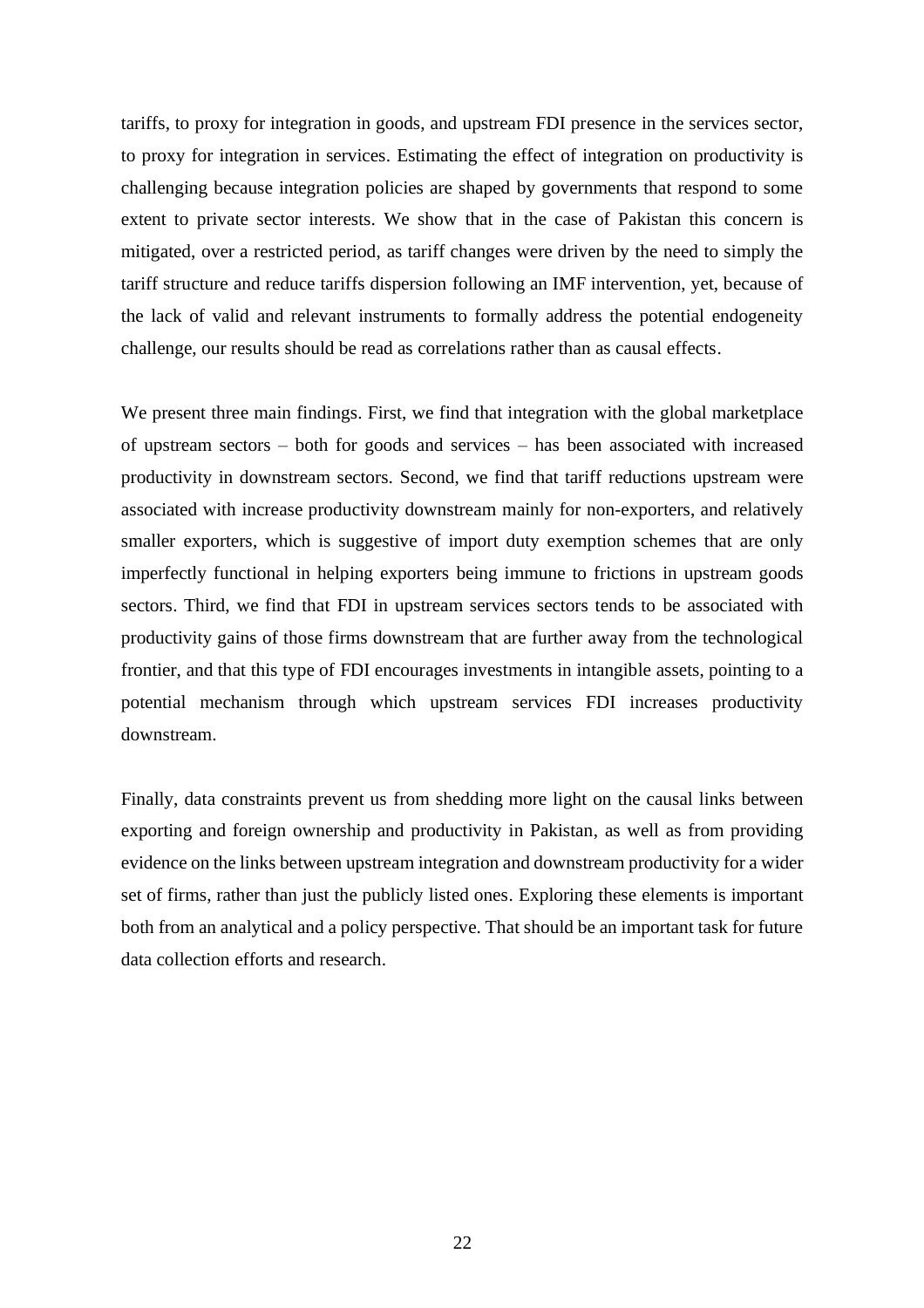tariffs, to proxy for integration in goods, and upstream FDI presence in the services sector, to proxy for integration in services. Estimating the effect of integration on productivity is challenging because integration policies are shaped by governments that respond to some extent to private sector interests. We show that in the case of Pakistan this concern is mitigated, over a restricted period, as tariff changes were driven by the need to simply the tariff structure and reduce tariffs dispersion following an IMF intervention, yet, because of the lack of valid and relevant instruments to formally address the potential endogeneity challenge, our results should be read as correlations rather than as causal effects.

We present three main findings. First, we find that integration with the global marketplace of upstream sectors – both for goods and services – has been associated with increased productivity in downstream sectors. Second, we find that tariff reductions upstream were associated with increase productivity downstream mainly for non-exporters, and relatively smaller exporters, which is suggestive of import duty exemption schemes that are only imperfectly functional in helping exporters being immune to frictions in upstream goods sectors. Third, we find that FDI in upstream services sectors tends to be associated with productivity gains of those firms downstream that are further away from the technological frontier, and that this type of FDI encourages investments in intangible assets, pointing to a potential mechanism through which upstream services FDI increases productivity downstream.

Finally, data constraints prevent us from shedding more light on the causal links between exporting and foreign ownership and productivity in Pakistan, as well as from providing evidence on the links between upstream integration and downstream productivity for a wider set of firms, rather than just the publicly listed ones. Exploring these elements is important both from an analytical and a policy perspective. That should be an important task for future data collection efforts and research.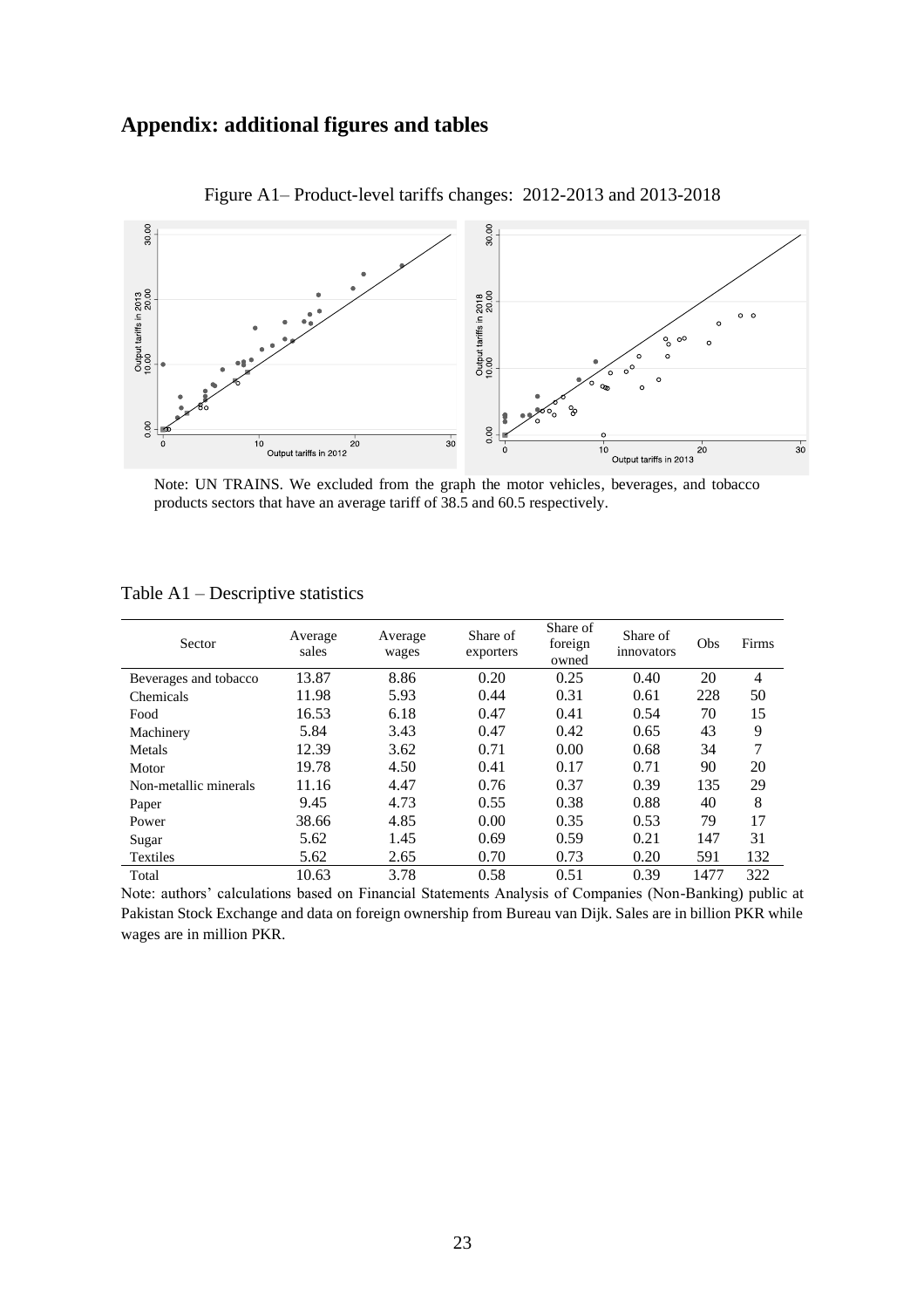### **Appendix: additional figures and tables**



Figure A1– Product-level tariffs changes: 2012-2013 and 2013-2018

Note: UN TRAINS. We excluded from the graph the motor vehicles, beverages, and tobacco products sectors that have an average tariff of 38.5 and 60.5 respectively.

| Sector                | Average<br>sales | Average<br>wages | Share of<br>exporters | Share of<br>foreign<br>owned | Share of<br>innovators | Obs  | Firms          |
|-----------------------|------------------|------------------|-----------------------|------------------------------|------------------------|------|----------------|
| Beverages and tobacco | 13.87            | 8.86             | 0.20                  | 0.25                         | 0.40                   | 20   | $\overline{4}$ |
| Chemicals             | 11.98            | 5.93             | 0.44                  | 0.31                         | 0.61                   | 228  | 50             |
| Food                  | 16.53            | 6.18             | 0.47                  | 0.41                         | 0.54                   | 70   | 15             |
| Machinery             | 5.84             | 3.43             | 0.47                  | 0.42                         | 0.65                   | 43   | 9              |
| Metals                | 12.39            | 3.62             | 0.71                  | 0.00                         | 0.68                   | 34   | 7              |
| Motor                 | 19.78            | 4.50             | 0.41                  | 0.17                         | 0.71                   | 90   | 20             |
| Non-metallic minerals | 11.16            | 4.47             | 0.76                  | 0.37                         | 0.39                   | 135  | 29             |
| Paper                 | 9.45             | 4.73             | 0.55                  | 0.38                         | 0.88                   | 40   | 8              |
| Power                 | 38.66            | 4.85             | 0.00                  | 0.35                         | 0.53                   | 79   | 17             |
| Sugar                 | 5.62             | 1.45             | 0.69                  | 0.59                         | 0.21                   | 147  | 31             |
| <b>Textiles</b>       | 5.62             | 2.65             | 0.70                  | 0.73                         | 0.20                   | 591  | 132            |
| Total                 | 10.63            | 3.78             | 0.58                  | 0.51                         | 0.39                   | 1477 | 322            |

Table A1 – Descriptive statistics

Note: authors' calculations based on Financial Statements Analysis of Companies (Non-Banking) public at Pakistan Stock Exchange and data on foreign ownership from Bureau van Dijk. Sales are in billion PKR while wages are in million PKR.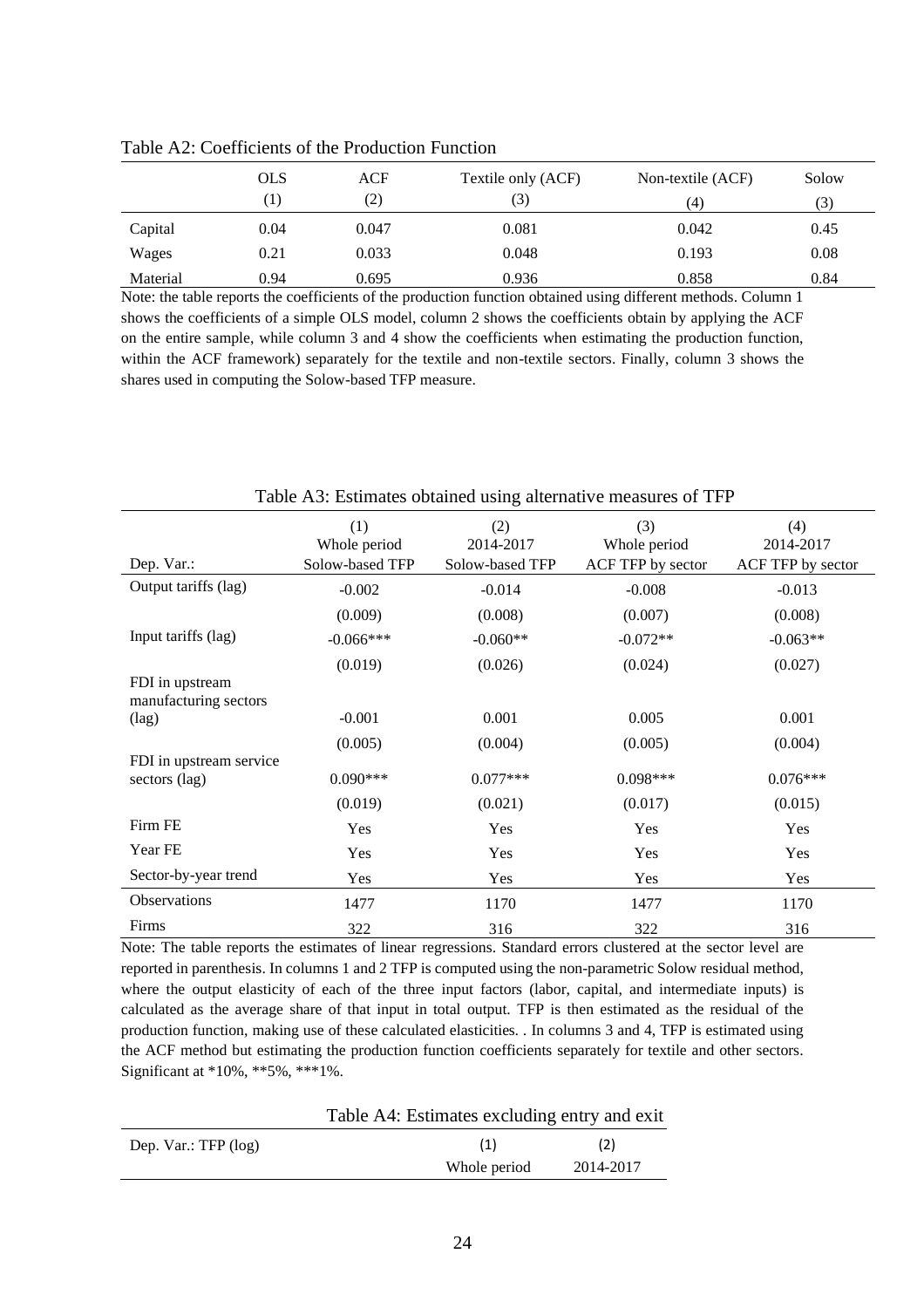|          | <b>OLS</b>        | <b>ACF</b> | Textile only (ACF) | Non-textile (ACF) | Solow |
|----------|-------------------|------------|--------------------|-------------------|-------|
|          | $\left( 1\right)$ | (2)        | (3)                | (4)               |       |
| Capital  | 0.04              | 0.047      | 0.081              | 0.042             | 0.45  |
| Wages    | 0.21              | 0.033      | 0.048              | 0.193             | 0.08  |
| Material | 0.94              | 0.695      | 0.936              | 0.858             | 0.84  |

Table A2: Coefficients of the Production Function

Note: the table reports the coefficients of the production function obtained using different methods. Column 1 shows the coefficients of a simple OLS model, column 2 shows the coefficients obtain by applying the ACF on the entire sample, while column 3 and 4 show the coefficients when estimating the production function, within the ACF framework) separately for the textile and non-textile sectors. Finally, column 3 shows the shares used in computing the Solow-based TFP measure.

| Dep. Var.:                               | (1)<br>Whole period<br>Solow-based TFP | (2)<br>2014-2017<br>Solow-based TFP | (3)<br>Whole period<br>ACF TFP by sector | (4)<br>2014-2017<br>ACF TFP by sector |
|------------------------------------------|----------------------------------------|-------------------------------------|------------------------------------------|---------------------------------------|
| Output tariffs (lag)                     | $-0.002$                               | $-0.014$                            | $-0.008$                                 | $-0.013$                              |
|                                          | (0.009)                                | (0.008)                             | (0.007)                                  | (0.008)                               |
| Input tariffs (lag)                      | $-0.066***$                            | $-0.060**$                          | $-0.072**$                               | $-0.063**$                            |
|                                          | (0.019)                                | (0.026)                             | (0.024)                                  | (0.027)                               |
| FDI in upstream<br>manufacturing sectors |                                        |                                     |                                          |                                       |
| $(\text{lag})$                           | $-0.001$                               | 0.001                               | 0.005                                    | 0.001                                 |
|                                          | (0.005)                                | (0.004)                             | (0.005)                                  | (0.004)                               |
| FDI in upstream service<br>sectors (lag) | $0.090***$                             | $0.077***$                          | $0.098***$                               | $0.076***$                            |
|                                          | (0.019)                                | (0.021)                             | (0.017)                                  | (0.015)                               |
| Firm FE                                  | Yes                                    | Yes                                 | Yes                                      | Yes                                   |
| Year FE                                  | Yes                                    | Yes                                 | Yes                                      | Yes                                   |
| Sector-by-year trend                     | Yes                                    | Yes                                 | Yes                                      | Yes                                   |
| Observations                             | 1477                                   | 1170                                | 1477                                     | 1170                                  |
| Firms                                    | 322                                    | 316                                 | 322                                      | 316                                   |

Table A3: Estimates obtained using alternative measures of TFP

Note: The table reports the estimates of linear regressions. Standard errors clustered at the sector level are reported in parenthesis. In columns 1 and 2 TFP is computed using the non-parametric Solow residual method, where the output elasticity of each of the three input factors (labor, capital, and intermediate inputs) is calculated as the average share of that input in total output. TFP is then estimated as the residual of the production function, making use of these calculated elasticities. . In columns 3 and 4, TFP is estimated using the ACF method but estimating the production function coefficients separately for textile and other sectors. Significant at \*10%, \*\*5%, \*\*\*1%.

|                        | Table A4: Estimates excluding entry and exit |           |
|------------------------|----------------------------------------------|-----------|
| Dep. Var.: $TFP$ (log) | (1)                                          | (2)       |
|                        | Whole period                                 | 2014-2017 |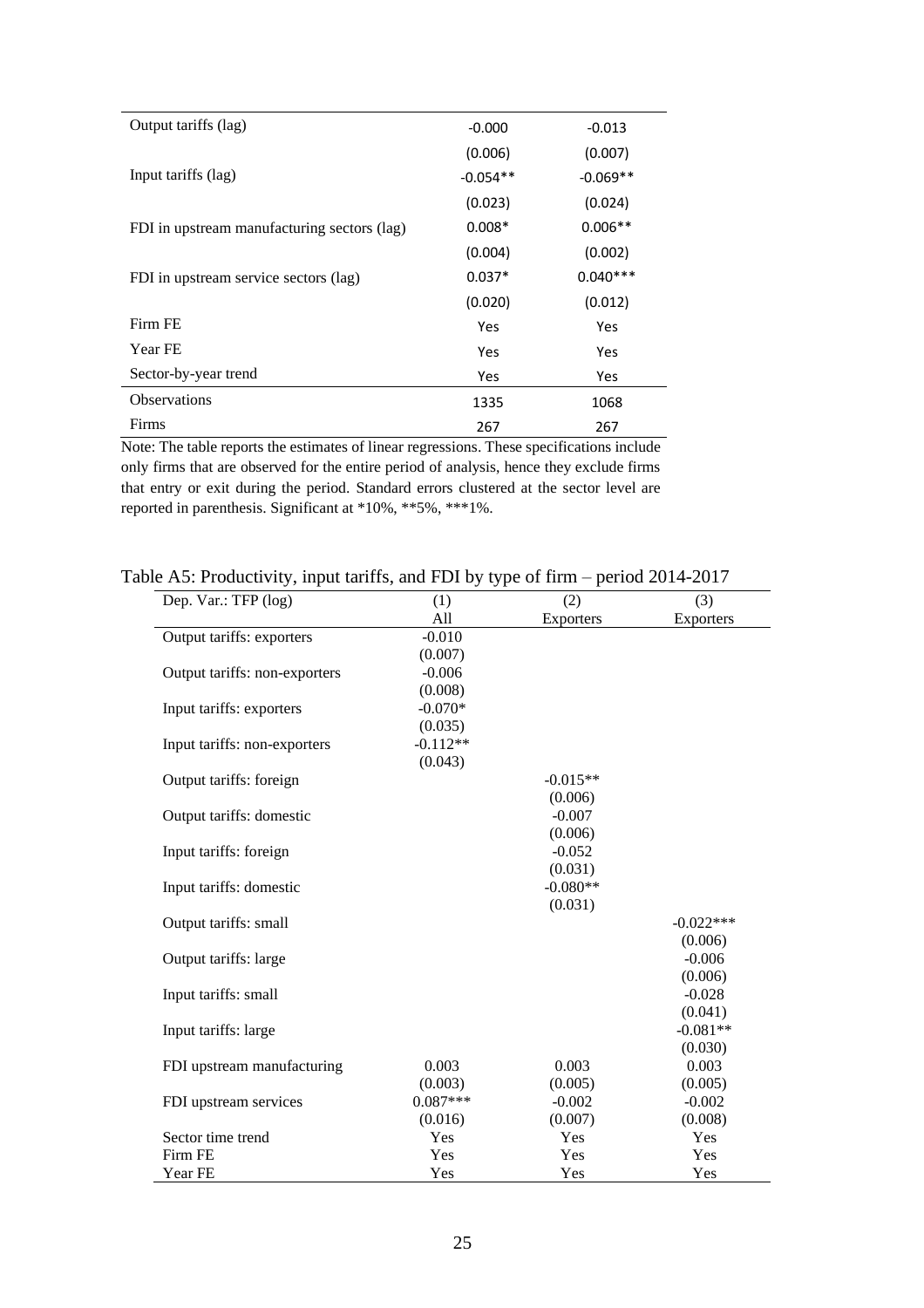| Output tariffs (lag)                        | $-0.000$   | $-0.013$   |
|---------------------------------------------|------------|------------|
|                                             | (0.006)    | (0.007)    |
| Input tariffs (lag)                         | $-0.054**$ | $-0.069**$ |
|                                             | (0.023)    | (0.024)    |
| FDI in upstream manufacturing sectors (lag) | $0.008*$   | $0.006**$  |
|                                             | (0.004)    | (0.002)    |
| FDI in upstream service sectors (lag)       | $0.037*$   | $0.040***$ |
|                                             | (0.020)    | (0.012)    |
| Firm FE                                     | Yes        | Yes        |
| Year FE                                     | Yes        | Yes        |
| Sector-by-year trend                        | Yes        | Yes        |
| <b>Observations</b>                         | 1335       | 1068       |
| Firms                                       | 267        | 267        |

Note: The table reports the estimates of linear regressions. These specifications include only firms that are observed for the entire period of analysis, hence they exclude firms that entry or exit during the period. Standard errors clustered at the sector level are reported in parenthesis. Significant at \*10%, \*\*5%, \*\*\*1%.

#### Table A5: Productivity, input tariffs, and FDI by type of firm – period 2014-2017

| Dep. Var.: TFP (log)          | (1)        | (2)              | (3)         |
|-------------------------------|------------|------------------|-------------|
|                               | All        | <b>Exporters</b> | Exporters   |
| Output tariffs: exporters     | $-0.010$   |                  |             |
|                               | (0.007)    |                  |             |
| Output tariffs: non-exporters | $-0.006$   |                  |             |
|                               | (0.008)    |                  |             |
| Input tariffs: exporters      | $-0.070*$  |                  |             |
|                               | (0.035)    |                  |             |
| Input tariffs: non-exporters  | $-0.112**$ |                  |             |
|                               | (0.043)    |                  |             |
| Output tariffs: foreign       |            | $-0.015**$       |             |
|                               |            | (0.006)          |             |
| Output tariffs: domestic      |            | $-0.007$         |             |
|                               |            | (0.006)          |             |
| Input tariffs: foreign        |            | $-0.052$         |             |
|                               |            | (0.031)          |             |
| Input tariffs: domestic       |            | $-0.080**$       |             |
|                               |            | (0.031)          |             |
| Output tariffs: small         |            |                  | $-0.022***$ |
|                               |            |                  | (0.006)     |
| Output tariffs: large         |            |                  | $-0.006$    |
|                               |            |                  | (0.006)     |
| Input tariffs: small          |            |                  | $-0.028$    |
|                               |            |                  | (0.041)     |
| Input tariffs: large          |            |                  | $-0.081**$  |
|                               |            |                  | (0.030)     |
| FDI upstream manufacturing    | 0.003      | 0.003            | 0.003       |
|                               | (0.003)    | (0.005)          | (0.005)     |
| FDI upstream services         | $0.087***$ | $-0.002$         | $-0.002$    |
|                               | (0.016)    | (0.007)          | (0.008)     |
| Sector time trend             | Yes        | Yes              | Yes         |
| Firm FE                       | Yes        | Yes              | Yes         |
| Year FE                       | Yes        | Yes              | Yes         |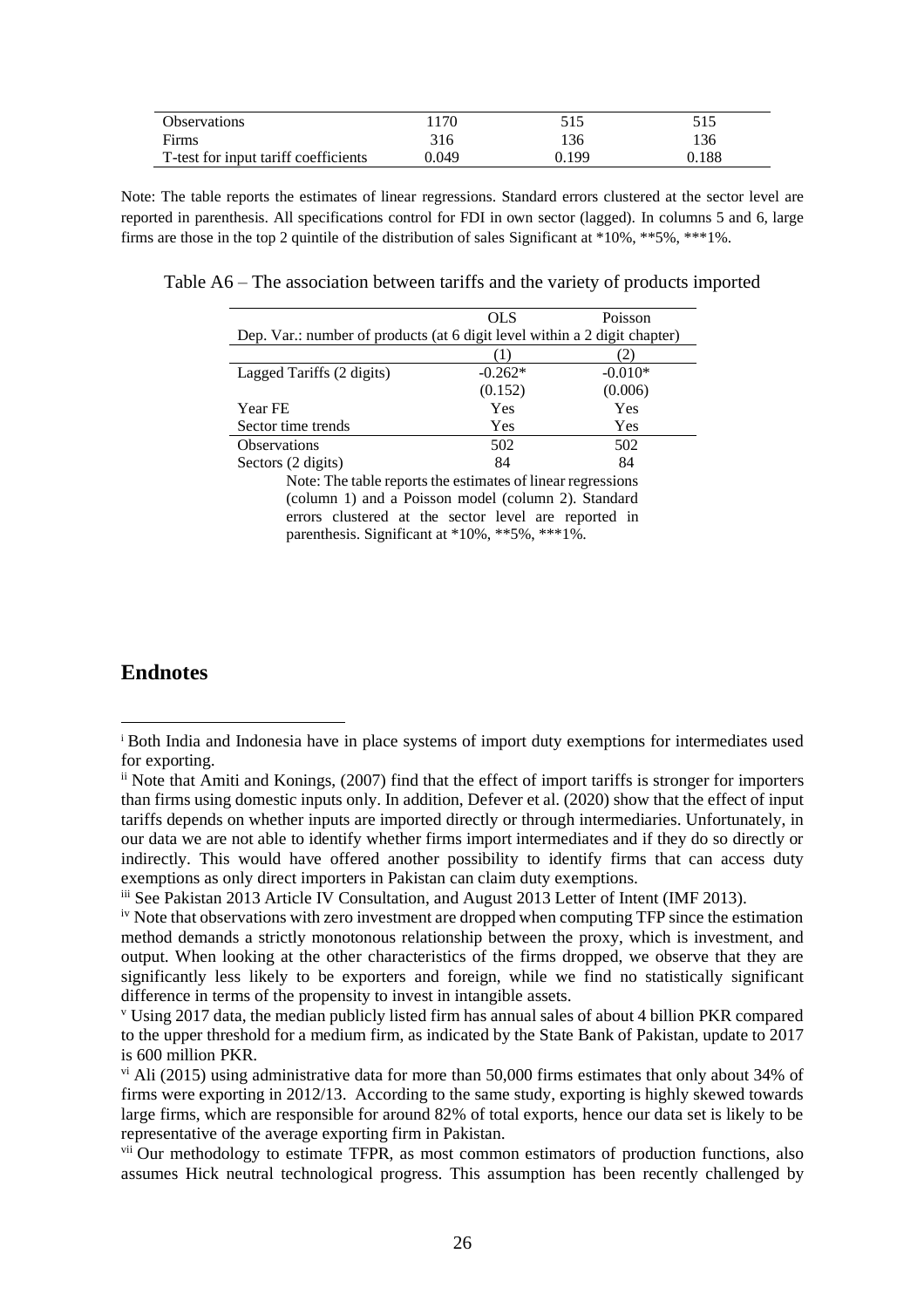| <b>Observations</b>                  | ' 170 | 515   | 515   |
|--------------------------------------|-------|-------|-------|
| Firms                                | 316   | 136   | 136   |
| T-test for input tariff coefficients | 0.049 | 0.199 | 0.188 |

Note: The table reports the estimates of linear regressions. Standard errors clustered at the sector level are reported in parenthesis. All specifications control for FDI in own sector (lagged). In columns 5 and 6, large firms are those in the top 2 quintile of the distribution of sales Significant at \*10%, \*\*5%, \*\*\*1%.

Table A6 – The association between tariffs and the variety of products imported

|                                                                           | OLS       | Poisson   |  |
|---------------------------------------------------------------------------|-----------|-----------|--|
| Dep. Var.: number of products (at 6 digit level within a 2 digit chapter) |           |           |  |
|                                                                           |           |           |  |
| Lagged Tariffs (2 digits)                                                 | $-0.262*$ | $-0.010*$ |  |
|                                                                           | (0.152)   | (0.006)   |  |
| Year FE                                                                   | Yes       | Yes       |  |
| Sector time trends                                                        | Yes       | Yes       |  |
| <b>Observations</b>                                                       | 502       | 502       |  |
| Sectors (2 digits)                                                        | 84        | 84        |  |
| Nota: The table nonema the estimates of linear requestions                |           |           |  |

Note: The table reports the estimates of linear regressions (column 1) and a Poisson model (column 2). Standard errors clustered at the sector level are reported in parenthesis. Significant at \*10%, \*\*5%, \*\*\*1%.

#### **Endnotes**

<sup>i</sup> Both India and Indonesia have in place systems of import duty exemptions for intermediates used for exporting.

ii Note that Amiti and Konings, (2007) find that the effect of import tariffs is stronger for importers than firms using domestic inputs only. In addition, Defever et al. (2020) show that the effect of input tariffs depends on whether inputs are imported directly or through intermediaries. Unfortunately, in our data we are not able to identify whether firms import intermediates and if they do so directly or indirectly. This would have offered another possibility to identify firms that can access duty exemptions as only direct importers in Pakistan can claim duty exemptions.

iii See Pakistan 2013 Article IV Consultation, and August 2013 Letter of Intent (IMF 2013).

<sup>&</sup>lt;sup>iv</sup> Note that observations with zero investment are dropped when computing TFP since the estimation method demands a strictly monotonous relationship between the proxy, which is investment, and output. When looking at the other characteristics of the firms dropped, we observe that they are significantly less likely to be exporters and foreign, while we find no statistically significant difference in terms of the propensity to invest in intangible assets.

<sup>v</sup> Using 2017 data, the median publicly listed firm has annual sales of about 4 billion PKR compared to the upper threshold for a medium firm, as indicated by the State Bank of Pakistan, update to 2017 is 600 million PKR.

 $\rm{v}^{\rm{i}}$  Ali (2015) using administrative data for more than 50,000 firms estimates that only about 34% of firms were exporting in 2012/13. According to the same study, exporting is highly skewed towards large firms, which are responsible for around 82% of total exports, hence our data set is likely to be representative of the average exporting firm in Pakistan.

vii Our methodology to estimate TFPR, as most common estimators of production functions, also assumes Hick neutral technological progress. This assumption has been recently challenged by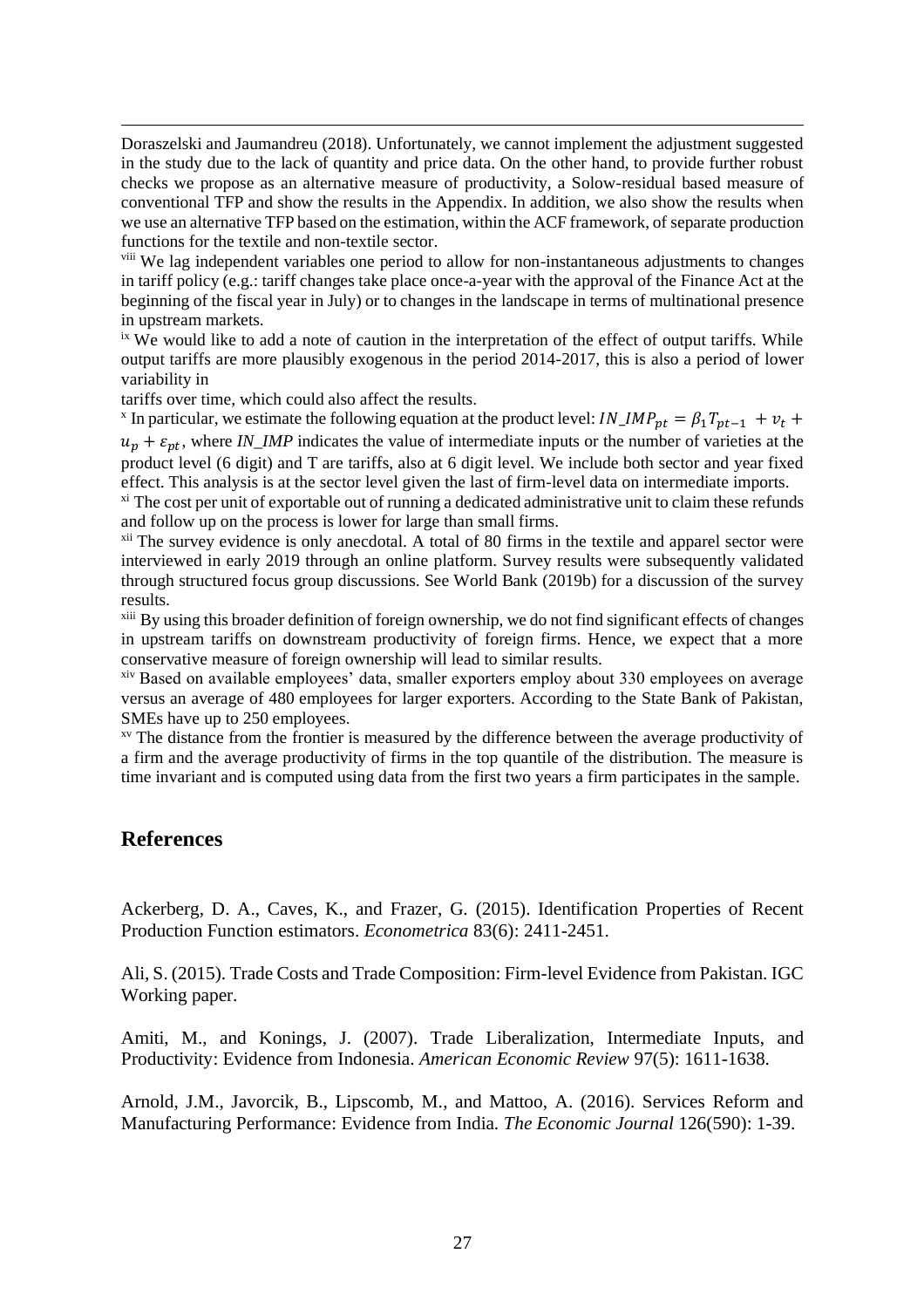Doraszelski and Jaumandreu (2018). Unfortunately, we cannot implement the adjustment suggested in the study due to the lack of quantity and price data. On the other hand, to provide further robust checks we propose as an alternative measure of productivity, a Solow-residual based measure of conventional TFP and show the results in the Appendix. In addition, we also show the results when we use an alternative TFP based on the estimation, within the ACF framework, of separate production functions for the textile and non-textile sector.

viii We lag independent variables one period to allow for non-instantaneous adjustments to changes in tariff policy (e.g.: tariff changes take place once-a-year with the approval of the Finance Act at the beginning of the fiscal year in July) or to changes in the landscape in terms of multinational presence in upstream markets.

<sup>ix</sup> We would like to add a note of caution in the interpretation of the effect of output tariffs. While output tariffs are more plausibly exogenous in the period 2014-2017, this is also a period of lower variability in

tariffs over time, which could also affect the results.

<sup>x</sup> In particular, we estimate the following equation at the product level:  $IN\_IMP_{pt} = \beta_1 T_{pt-1} + v_t +$  $u_p + \varepsilon_{pt}$ , where *IN\_IMP* indicates the value of intermediate inputs or the number of varieties at the product level (6 digit) and T are tariffs, also at 6 digit level. We include both sector and year fixed effect. This analysis is at the sector level given the last of firm-level data on intermediate imports.

 $\frac{x_i}{x_i}$  The cost per unit of exportable out of running a dedicated administrative unit to claim these refunds and follow up on the process is lower for large than small firms.

xii The survey evidence is only anecdotal. A total of 80 firms in the textile and apparel sector were interviewed in early 2019 through an online platform. Survey results were subsequently validated through structured focus group discussions. See World Bank (2019b) for a discussion of the survey results.

xiii By using this broader definition of foreign ownership, we do not find significant effects of changes in upstream tariffs on downstream productivity of foreign firms. Hence, we expect that a more conservative measure of foreign ownership will lead to similar results.

xiv Based on available employees' data, smaller exporters employ about 330 employees on average versus an average of 480 employees for larger exporters. According to the State Bank of Pakistan, SMEs have up to 250 employees.

xv The distance from the frontier is measured by the difference between the average productivity of a firm and the average productivity of firms in the top quantile of the distribution. The measure is time invariant and is computed using data from the first two years a firm participates in the sample.

#### **References**

Ackerberg, D. A., Caves, K., and Frazer, G. (2015). Identification Properties of Recent Production Function estimators. *Econometrica* 83(6): 2411-2451.

Ali, S. (2015). Trade Costs and Trade Composition: Firm-level Evidence from Pakistan. IGC Working paper.

Amiti, M., and Konings, J. (2007). Trade Liberalization, Intermediate Inputs, and Productivity: Evidence from Indonesia. *American Economic Review* 97(5): 1611-1638.

Arnold, J.M., Javorcik, B., Lipscomb, M., and Mattoo, A. (2016). Services Reform and Manufacturing Performance: Evidence from India. *The Economic Journal* 126(590): 1-39.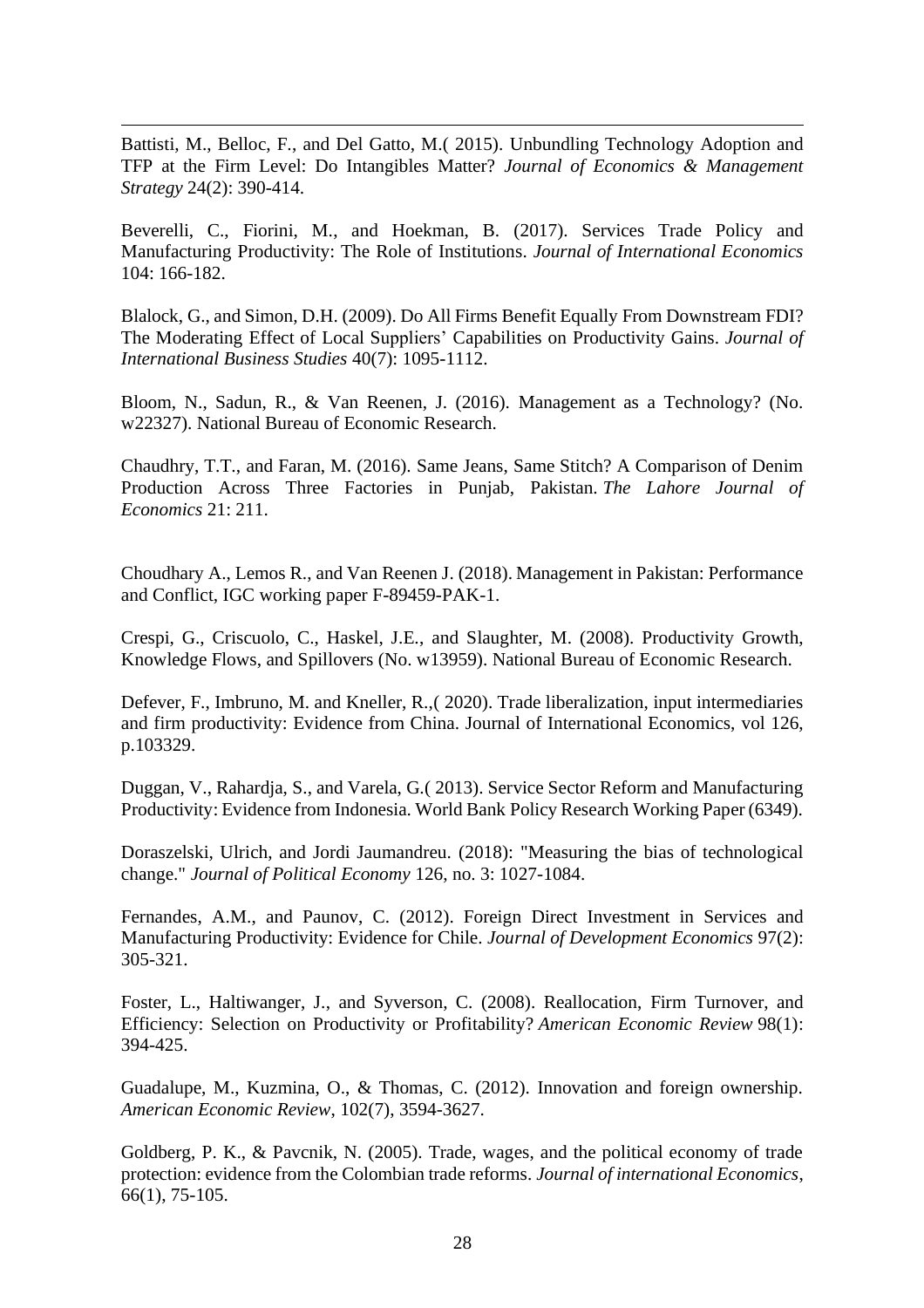Battisti, M., Belloc, F., and Del Gatto, M.( 2015). Unbundling Technology Adoption and TFP at the Firm Level: Do Intangibles Matter? *Journal of Economics & Management Strategy* 24(2): 390-414.

Beverelli, C., Fiorini, M., and Hoekman, B. (2017). Services Trade Policy and Manufacturing Productivity: The Role of Institutions. *Journal of International Economics* 104: 166-182.

Blalock, G., and Simon, D.H. (2009). Do All Firms Benefit Equally From Downstream FDI? The Moderating Effect of Local Suppliers' Capabilities on Productivity Gains. *Journal of International Business Studies* 40(7): 1095-1112.

Bloom, N., Sadun, R., & Van Reenen, J. (2016). Management as a Technology? (No. w22327). National Bureau of Economic Research.

Chaudhry, T.T., and Faran, M. (2016). Same Jeans, Same Stitch? A Comparison of Denim Production Across Three Factories in Punjab, Pakistan. *The Lahore Journal of Economics* 21: 211.

Choudhary A., Lemos R., and Van Reenen J. (2018). Management in Pakistan: Performance and Conflict, IGC working paper F-89459-PAK-1.

Crespi, G., Criscuolo, C., Haskel, J.E., and Slaughter, M. (2008). Productivity Growth, Knowledge Flows, and Spillovers (No. w13959). National Bureau of Economic Research.

Defever, F., Imbruno, M. and Kneller, R.,( 2020). Trade liberalization, input intermediaries and firm productivity: Evidence from China. Journal of International Economics, vol 126, p.103329.

Duggan, V., Rahardja, S., and Varela, G.( 2013). Service Sector Reform and Manufacturing Productivity: Evidence from Indonesia. World Bank Policy Research Working Paper (6349).

Doraszelski, Ulrich, and Jordi Jaumandreu. (2018): "Measuring the bias of technological change." *Journal of Political Economy* 126, no. 3: 1027-1084.

Fernandes, A.M., and Paunov, C. (2012). Foreign Direct Investment in Services and Manufacturing Productivity: Evidence for Chile. *Journal of Development Economics* 97(2): 305-321.

Foster, L., Haltiwanger, J., and Syverson, C. (2008). Reallocation, Firm Turnover, and Efficiency: Selection on Productivity or Profitability? *American Economic Review* 98(1): 394-425.

Guadalupe, M., Kuzmina, O., & Thomas, C. (2012). Innovation and foreign ownership. *American Economic Review*, 102(7), 3594-3627.

Goldberg, P. K., & Pavcnik, N. (2005). Trade, wages, and the political economy of trade protection: evidence from the Colombian trade reforms. *Journal of international Economics*, 66(1), 75-105.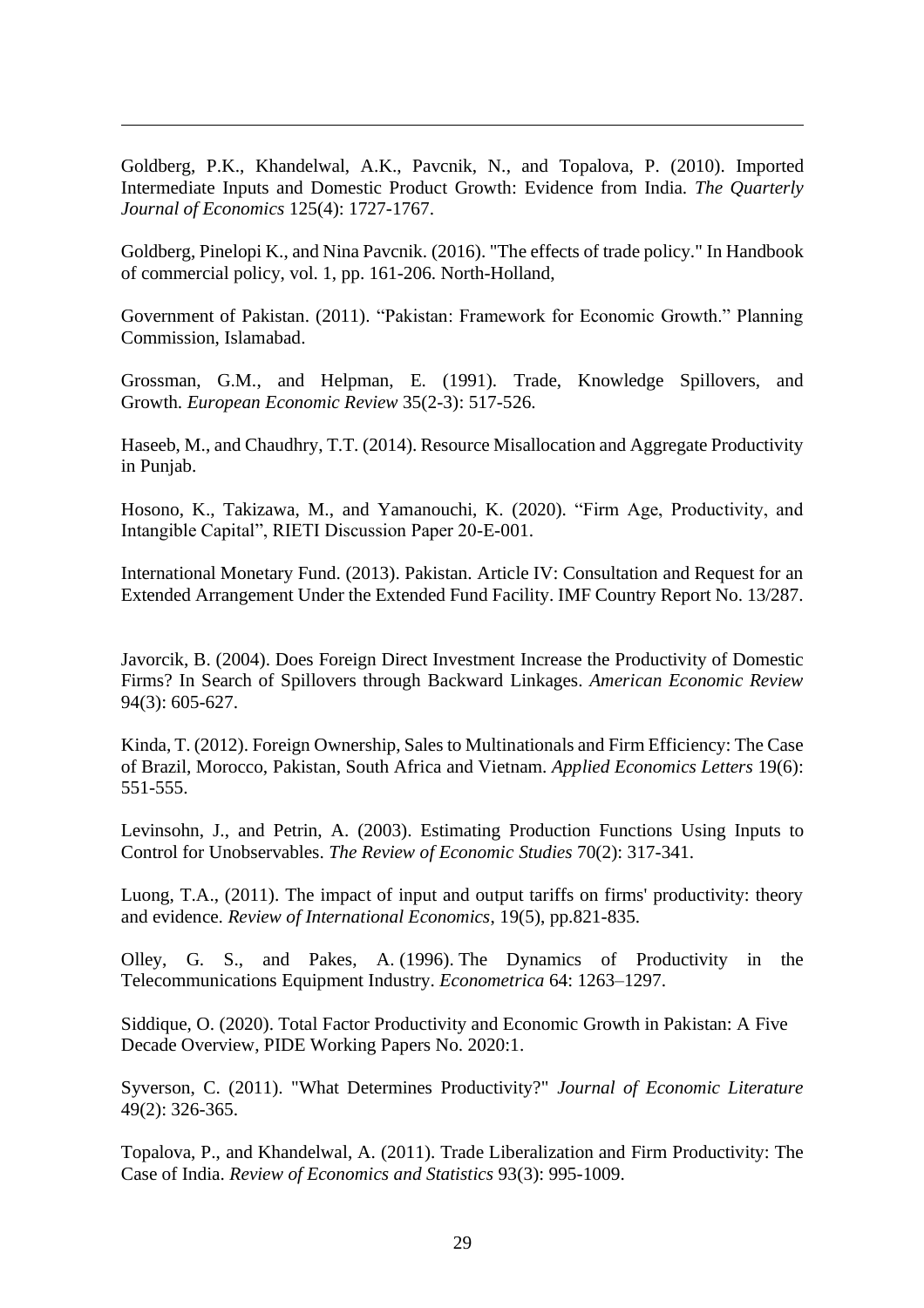Goldberg, P.K., Khandelwal, A.K., Pavcnik, N., and Topalova, P. (2010). Imported Intermediate Inputs and Domestic Product Growth: Evidence from India. *The Quarterly Journal of Economics* 125(4): 1727-1767.

Goldberg, Pinelopi K., and Nina Pavcnik. (2016). "The effects of trade policy." In Handbook of commercial policy, vol. 1, pp. 161-206. North-Holland,

Government of Pakistan. (2011). "Pakistan: Framework for Economic Growth." Planning Commission, Islamabad.

Grossman, G.M., and Helpman, E. (1991). Trade, Knowledge Spillovers, and Growth. *European Economic Review* 35(2-3): 517-526.

Haseeb, M., and Chaudhry, T.T. (2014). Resource Misallocation and Aggregate Productivity in Punjab.

Hosono, K., Takizawa, M., and Yamanouchi, K. (2020). "Firm Age, Productivity, and Intangible Capital", RIETI Discussion Paper 20-E-001.

International Monetary Fund. (2013). Pakistan. Article IV: Consultation and Request for an Extended Arrangement Under the Extended Fund Facility. IMF Country Report No. 13/287.

Javorcik, B. (2004). Does Foreign Direct Investment Increase the Productivity of Domestic Firms? In Search of Spillovers through Backward Linkages. *American Economic Review* 94(3): 605-627.

Kinda, T. (2012). Foreign Ownership, Sales to Multinationals and Firm Efficiency: The Case of Brazil, Morocco, Pakistan, South Africa and Vietnam. *Applied Economics Letters* 19(6): 551-555.

Levinsohn, J., and Petrin, A. (2003). Estimating Production Functions Using Inputs to Control for Unobservables. *The Review of Economic Studies* 70(2): 317-341.

Luong, T.A., (2011). The impact of input and output tariffs on firms' productivity: theory and evidence. *Review of International Economics*, 19(5), pp.821-835.

Olley, G. S., and Pakes, A. (1996). The Dynamics of Productivity in the Telecommunications Equipment Industry. *Econometrica* 64: 1263–1297.

Siddique, O. (2020). Total Factor Productivity and Economic Growth in Pakistan: A Five Decade Overview, PIDE Working Papers No. 2020:1.

Syverson, C. (2011). "What Determines Productivity?" *Journal of Economic Literature* 49(2): 326-365.

Topalova, P., and Khandelwal, A. (2011). Trade Liberalization and Firm Productivity: The Case of India. *Review of Economics and Statistics* 93(3): 995-1009.